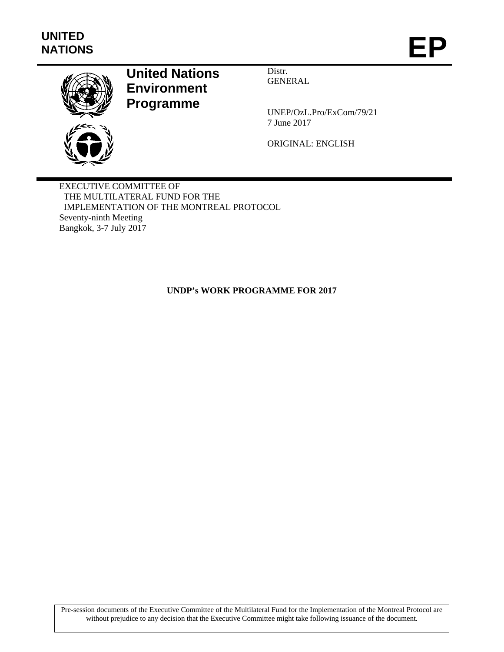

# **United Nations Environment Programme**

Distr. GENERAL

UNEP/OzL.Pro/ExCom/79/21 7 June 2017

ORIGINAL: ENGLISH

EXECUTIVE COMMITTEE OF THE MULTILATERAL FUND FOR THE IMPLEMENTATION OF THE MONTREAL PROTOCOL Seventy-ninth Meeting Bangkok, 3-7 July 2017

**UNDP's WORK PROGRAMME FOR 2017** 

Pre-session documents of the Executive Committee of the Multilateral Fund for the Implementation of the Montreal Protocol are without prejudice to any decision that the Executive Committee might take following issuance of the document.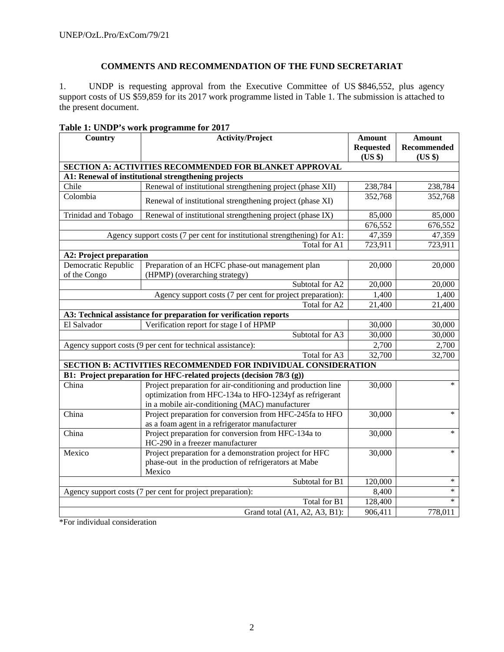### **COMMENTS AND RECOMMENDATION OF THE FUND SECRETARIAT**

1. UNDP is requesting approval from the Executive Committee of US \$846,552, plus agency support costs of US \$59,859 for its 2017 work programme listed in Table 1. The submission is attached to the present document.

| Country                             | <b>Activity/Project</b>                                                                                                                                                    | <b>Amount</b>               | <b>Amount</b>                 |
|-------------------------------------|----------------------------------------------------------------------------------------------------------------------------------------------------------------------------|-----------------------------|-------------------------------|
|                                     |                                                                                                                                                                            | <b>Requested</b><br>(US \$) | <b>Recommended</b><br>(US \$) |
|                                     | <b>SECTION A: ACTIVITIES RECOMMENDED FOR BLANKET APPROVAL</b>                                                                                                              |                             |                               |
|                                     | A1: Renewal of institutional strengthening projects                                                                                                                        |                             |                               |
| Chile                               | Renewal of institutional strengthening project (phase XII)                                                                                                                 | 238,784                     | 238,784                       |
| Colombia                            | Renewal of institutional strengthening project (phase XI)                                                                                                                  | 352,768                     | 352,768                       |
| Trinidad and Tobago                 | Renewal of institutional strengthening project (phase IX)                                                                                                                  | 85,000                      | 85,000                        |
|                                     |                                                                                                                                                                            | 676,552                     | 676,552                       |
|                                     | Agency support costs (7 per cent for institutional strengthening) for A1:                                                                                                  | 47,359                      | 47,359                        |
|                                     | Total for A1                                                                                                                                                               | 723,911                     | 723,911                       |
| <b>A2: Project preparation</b>      |                                                                                                                                                                            |                             |                               |
| Democratic Republic<br>of the Congo | Preparation of an HCFC phase-out management plan<br>(HPMP) (overarching strategy)                                                                                          | 20,000                      | 20,000                        |
|                                     | Subtotal for A2                                                                                                                                                            | 20,000                      | 20,000                        |
|                                     | Agency support costs (7 per cent for project preparation):                                                                                                                 | 1,400                       | 1,400                         |
|                                     | Total for A2                                                                                                                                                               | 21,400                      | 21,400                        |
|                                     | A3: Technical assistance for preparation for verification reports                                                                                                          |                             |                               |
| El Salvador                         | Verification report for stage I of HPMP                                                                                                                                    | 30,000                      | 30,000                        |
|                                     | Subtotal for A3                                                                                                                                                            | 30,000                      | 30,000                        |
|                                     | Agency support costs (9 per cent for technical assistance):                                                                                                                | 2,700                       | 2,700                         |
|                                     | Total for A3                                                                                                                                                               | 32,700                      | 32,700                        |
|                                     | <b>SECTION B: ACTIVITIES RECOMMENDED FOR INDIVIDUAL CONSIDERATION</b>                                                                                                      |                             |                               |
|                                     | B1: Project preparation for HFC-related projects (decision 78/3 (g))                                                                                                       |                             |                               |
| China                               | Project preparation for air-conditioning and production line<br>optimization from HFC-134a to HFO-1234yf as refrigerant<br>in a mobile air-conditioning (MAC) manufacturer | 30,000                      | $\ast$                        |
| China                               | Project preparation for conversion from HFC-245fa to HFO<br>as a foam agent in a refrigerator manufacturer                                                                 | 30,000                      | $\ast$                        |
| China                               | Project preparation for conversion from HFC-134a to<br>HC-290 in a freezer manufacturer                                                                                    | 30,000                      | $\ast$                        |
| Mexico                              | Project preparation for a demonstration project for HFC<br>phase-out in the production of refrigerators at Mabe<br>Mexico                                                  | 30,000                      | $\ast$                        |
|                                     | Subtotal for B1                                                                                                                                                            | 120,000                     | $\ast$                        |
|                                     | Agency support costs (7 per cent for project preparation):                                                                                                                 | 8,400                       | $\ast$                        |
|                                     | Total for B1                                                                                                                                                               | 128,400                     | $\ast$                        |
|                                     | Grand total $(A1, A2, A3, B1)$ :                                                                                                                                           | 906,411                     | 778,011                       |

### **Table 1: UNDP's work programme for 2017**

\*For individual consideration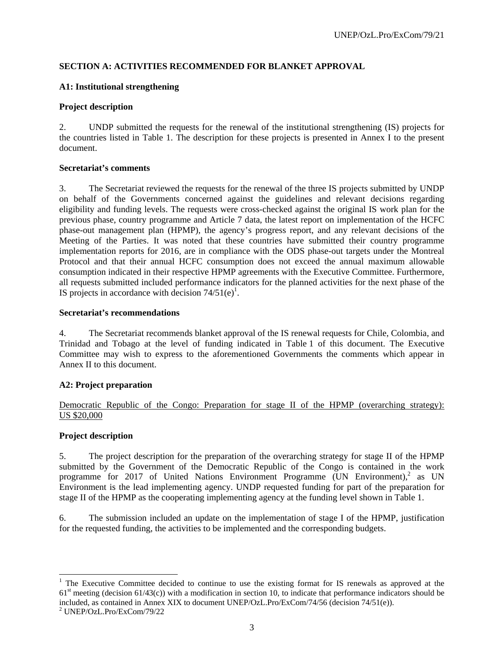## **SECTION A: ACTIVITIES RECOMMENDED FOR BLANKET APPROVAL**

### **A1: Institutional strengthening**

### **Project description**

2. UNDP submitted the requests for the renewal of the institutional strengthening (IS) projects for the countries listed in Table 1. The description for these projects is presented in Annex I to the present document.

### **Secretariat's comments**

3. The Secretariat reviewed the requests for the renewal of the three IS projects submitted by UNDP on behalf of the Governments concerned against the guidelines and relevant decisions regarding eligibility and funding levels. The requests were cross-checked against the original IS work plan for the previous phase, country programme and Article 7 data, the latest report on implementation of the HCFC phase-out management plan (HPMP), the agency's progress report, and any relevant decisions of the Meeting of the Parties. It was noted that these countries have submitted their country programme implementation reports for 2016, are in compliance with the ODS phase-out targets under the Montreal Protocol and that their annual HCFC consumption does not exceed the annual maximum allowable consumption indicated in their respective HPMP agreements with the Executive Committee. Furthermore, all requests submitted included performance indicators for the planned activities for the next phase of the IS projects in accordance with decision  $74/51(e)^1$ .

### **Secretariat's recommendations**

4. The Secretariat recommends blanket approval of the IS renewal requests for Chile, Colombia, and Trinidad and Tobago at the level of funding indicated in Table 1 of this document. The Executive Committee may wish to express to the aforementioned Governments the comments which appear in Annex II to this document.

### **A2: Project preparation**

Democratic Republic of the Congo: Preparation for stage II of the HPMP (overarching strategy): US \$20,000

### **Project description**

5. The project description for the preparation of the overarching strategy for stage II of the HPMP submitted by the Government of the Democratic Republic of the Congo is contained in the work programme for 2017 of United Nations Environment Programme (UN Environment),<sup>2</sup> as UN Environment is the lead implementing agency. UNDP requested funding for part of the preparation for stage II of the HPMP as the cooperating implementing agency at the funding level shown in Table 1.

6. The submission included an update on the implementation of stage I of the HPMP, justification for the requested funding, the activities to be implemented and the corresponding budgets.

<sup>-</sup><sup>1</sup> The Executive Committee decided to continue to use the existing format for IS renewals as approved at the  $61<sup>st</sup>$  meeting (decision  $61/43(c)$ ) with a modification in section 10, to indicate that performance indicators should be included, as contained in Annex XIX to document UNEP/OzL.Pro/ExCom/74/56 (decision 74/51(e)).

<sup>2</sup> UNEP/OzL.Pro/ExCom/79/22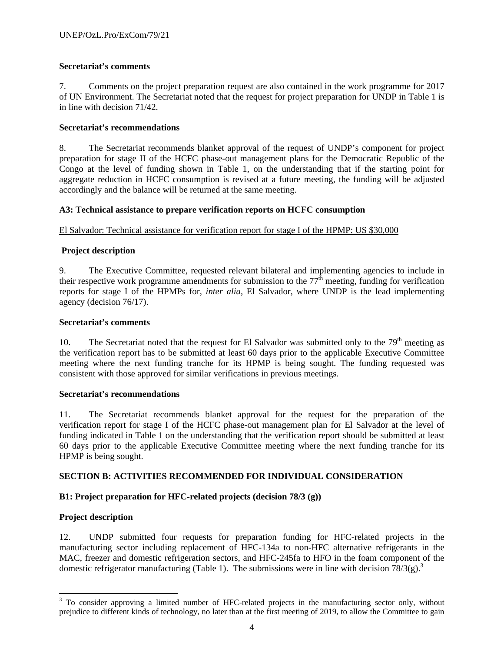### **Secretariat's comments**

7. Comments on the project preparation request are also contained in the work programme for 2017 of UN Environment. The Secretariat noted that the request for project preparation for UNDP in Table 1 is in line with decision 71/42.

### **Secretariat's recommendations**

8. The Secretariat recommends blanket approval of the request of UNDP's component for project preparation for stage II of the HCFC phase-out management plans for the Democratic Republic of the Congo at the level of funding shown in Table 1, on the understanding that if the starting point for aggregate reduction in HCFC consumption is revised at a future meeting, the funding will be adjusted accordingly and the balance will be returned at the same meeting.

### **A3: Technical assistance to prepare verification reports on HCFC consumption**

El Salvador: Technical assistance for verification report for stage I of the HPMP: US \$30,000

### **Project description**

9. The Executive Committee, requested relevant bilateral and implementing agencies to include in their respective work programme amendments for submission to the  $77<sup>th</sup>$  meeting, funding for verification reports for stage I of the HPMPs for, *inter alia*, El Salvador, where UNDP is the lead implementing agency (decision 76/17).

### **Secretariat's comments**

10. The Secretariat noted that the request for El Salvador was submitted only to the  $79<sup>th</sup>$  meeting as the verification report has to be submitted at least 60 days prior to the applicable Executive Committee meeting where the next funding tranche for its HPMP is being sought. The funding requested was consistent with those approved for similar verifications in previous meetings.

### **Secretariat's recommendations**

11. The Secretariat recommends blanket approval for the request for the preparation of the verification report for stage I of the HCFC phase-out management plan for El Salvador at the level of funding indicated in Table 1 on the understanding that the verification report should be submitted at least 60 days prior to the applicable Executive Committee meeting where the next funding tranche for its HPMP is being sought.

### **SECTION B: ACTIVITIES RECOMMENDED FOR INDIVIDUAL CONSIDERATION**

### **B1: Project preparation for HFC-related projects (decision 78/3 (g))**

### **Project description**

1

12. UNDP submitted four requests for preparation funding for HFC-related projects in the manufacturing sector including replacement of HFC-134a to non-HFC alternative refrigerants in the MAC, freezer and domestic refrigeration sectors, and HFC-245fa to HFO in the foam component of the domestic refrigerator manufacturing (Table 1). The submissions were in line with decision  $\overline{78}/3(g)$ .<sup>3</sup>

<sup>&</sup>lt;sup>3</sup> To consider approving a limited number of HFC-related projects in the manufacturing sector only, without prejudice to different kinds of technology, no later than at the first meeting of 2019, to allow the Committee to gain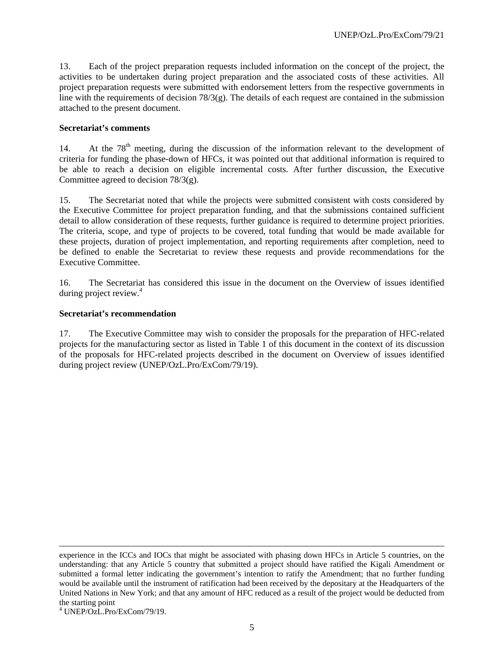13. Each of the project preparation requests included information on the concept of the project, the activities to be undertaken during project preparation and the associated costs of these activities. All project preparation requests were submitted with endorsement letters from the respective governments in line with the requirements of decision  $78/3(g)$ . The details of each request are contained in the submission attached to the present document.

### **Secretariat's comments**

14. At the  $78<sup>th</sup>$  meeting, during the discussion of the information relevant to the development of criteria for funding the phase-down of HFCs, it was pointed out that additional information is required to be able to reach a decision on eligible incremental costs. After further discussion, the Executive Committee agreed to decision  $78/3(g)$ .

15. The Secretariat noted that while the projects were submitted consistent with costs considered by the Executive Committee for project preparation funding, and that the submissions contained sufficient detail to allow consideration of these requests, further guidance is required to determine project priorities. The criteria, scope, and type of projects to be covered, total funding that would be made available for these projects, duration of project implementation, and reporting requirements after completion, need to be defined to enable the Secretariat to review these requests and provide recommendations for the Executive Committee.

16. The Secretariat has considered this issue in the document on the Overview of issues identified during project review.<sup>4</sup>

### **Secretariat's recommendation**

17. The Executive Committee may wish to consider the proposals for the preparation of HFC-related projects for the manufacturing sector as listed in Table 1 of this document in the context of its discussion of the proposals for HFC-related projects described in the document on Overview of issues identified during project review (UNEP/OzL.Pro/ExCom/79/19).

l

experience in the ICCs and IOCs that might be associated with phasing down HFCs in Article 5 countries, on the understanding: that any Article 5 country that submitted a project should have ratified the Kigali Amendment or submitted a formal letter indicating the government's intention to ratify the Amendment; that no further funding would be available until the instrument of ratification had been received by the depositary at the Headquarters of the United Nations in New York; and that any amount of HFC reduced as a result of the project would be deducted from the starting point

<sup>4</sup> UNEP/OzL.Pro/ExCom/79/19.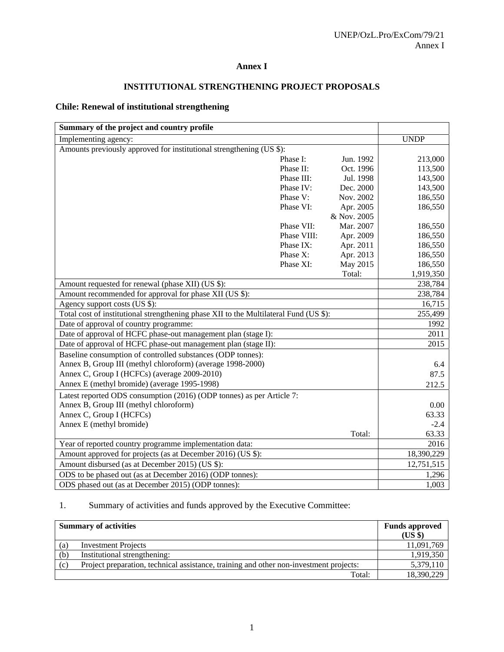### **Annex I**

## **INSTITUTIONAL STRENGTHENING PROJECT PROPOSALS**

## **Chile: Renewal of institutional strengthening**

| Summary of the project and country profile                                            |             |             |             |
|---------------------------------------------------------------------------------------|-------------|-------------|-------------|
| Implementing agency:                                                                  |             |             | <b>UNDP</b> |
| Amounts previously approved for institutional strengthening (US \$):                  |             |             |             |
|                                                                                       | Phase I:    | Jun. 1992   | 213,000     |
|                                                                                       | Phase II:   | Oct. 1996   | 113,500     |
|                                                                                       | Phase III:  | Jul. 1998   | 143,500     |
|                                                                                       | Phase IV:   | Dec. 2000   | 143,500     |
|                                                                                       | Phase V:    | Nov. 2002   | 186,550     |
|                                                                                       | Phase VI:   | Apr. 2005   | 186,550     |
|                                                                                       |             | & Nov. 2005 |             |
|                                                                                       | Phase VII:  | Mar. 2007   | 186,550     |
|                                                                                       | Phase VIII: | Apr. 2009   | 186,550     |
|                                                                                       | Phase IX:   | Apr. 2011   | 186,550     |
|                                                                                       | Phase X:    | Apr. 2013   | 186,550     |
|                                                                                       | Phase XI:   | May 2015    | 186,550     |
|                                                                                       |             | Total:      | 1,919,350   |
| Amount requested for renewal (phase XII) (US \$):                                     |             | 238,784     |             |
| Amount recommended for approval for phase XII (US \$):                                | 238,784     |             |             |
| Agency support costs (US \$):                                                         | 16,715      |             |             |
| Total cost of institutional strengthening phase XII to the Multilateral Fund (US \$): | 255,499     |             |             |
| Date of approval of country programme:                                                | 1992        |             |             |
| Date of approval of HCFC phase-out management plan (stage I):                         | 2011        |             |             |
| Date of approval of HCFC phase-out management plan (stage II):                        |             |             | 2015        |
| Baseline consumption of controlled substances (ODP tonnes):                           |             |             |             |
| Annex B, Group III (methyl chloroform) (average 1998-2000)                            |             |             | 6.4         |
| Annex C, Group I (HCFCs) (average 2009-2010)                                          |             |             | 87.5        |
| Annex E (methyl bromide) (average 1995-1998)                                          |             |             | 212.5       |
| Latest reported ODS consumption (2016) (ODP tonnes) as per Article 7:                 |             |             |             |
| Annex B, Group III (methyl chloroform)                                                |             |             | 0.00        |
| Annex C, Group I (HCFCs)                                                              |             |             | 63.33       |
| Annex E (methyl bromide)                                                              |             |             | $-2.4$      |
|                                                                                       |             | Total:      | 63.33       |
| Year of reported country programme implementation data:                               |             |             | 2016        |
| Amount approved for projects (as at December 2016) (US \$):                           | 18,390,229  |             |             |
| Amount disbursed (as at December 2015) (US \$):                                       |             | 12,751,515  |             |
| ODS to be phased out (as at December 2016) (ODP tonnes):                              |             |             | 1,296       |
| ODS phased out (as at December 2015) (ODP tonnes):                                    |             |             | 1,003       |

## 1. Summary of activities and funds approved by the Executive Committee:

|     | <b>Summary of activities</b>                                                           | <b>Funds approved</b><br>(US \$) |
|-----|----------------------------------------------------------------------------------------|----------------------------------|
| (a) | <b>Investment Projects</b>                                                             | 11,091,769                       |
| (b) | Institutional strengthening:                                                           | 1,919,350                        |
| (c) | Project preparation, technical assistance, training and other non-investment projects: | 5,379,110                        |
|     | Total:                                                                                 | 18,390,229                       |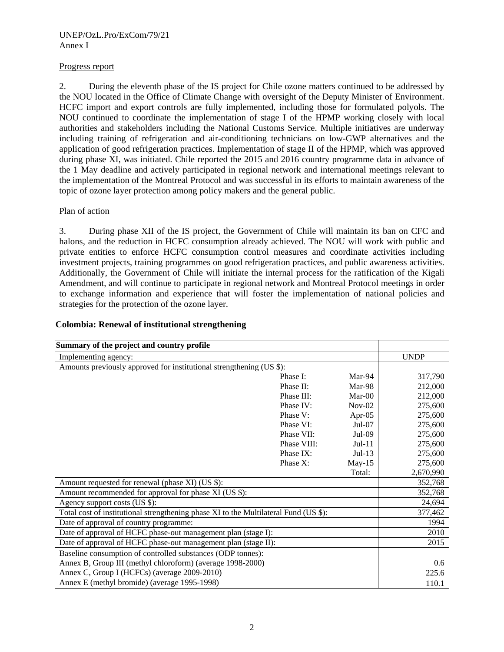### UNEP/OzL.Pro/ExCom/79/21 Annex I

### Progress report

2. During the eleventh phase of the IS project for Chile ozone matters continued to be addressed by the NOU located in the Office of Climate Change with oversight of the Deputy Minister of Environment. HCFC import and export controls are fully implemented, including those for formulated polyols. The NOU continued to coordinate the implementation of stage I of the HPMP working closely with local authorities and stakeholders including the National Customs Service. Multiple initiatives are underway including training of refrigeration and air-conditioning technicians on low-GWP alternatives and the application of good refrigeration practices. Implementation of stage II of the HPMP, which was approved during phase XI, was initiated. Chile reported the 2015 and 2016 country programme data in advance of the 1 May deadline and actively participated in regional network and international meetings relevant to the implementation of the Montreal Protocol and was successful in its efforts to maintain awareness of the topic of ozone layer protection among policy makers and the general public.

### Plan of action

3. During phase XII of the IS project, the Government of Chile will maintain its ban on CFC and halons, and the reduction in HCFC consumption already achieved. The NOU will work with public and private entities to enforce HCFC consumption control measures and coordinate activities including investment projects, training programmes on good refrigeration practices, and public awareness activities. Additionally, the Government of Chile will initiate the internal process for the ratification of the Kigali Amendment, and will continue to participate in regional network and Montreal Protocol meetings in order to exchange information and experience that will foster the implementation of national policies and strategies for the protection of the ozone layer.

| <b>Colombia: Renewal of institutional strengthening</b> |  |
|---------------------------------------------------------|--|
|                                                         |  |

| Summary of the project and country profile                                           |                                                                      |           |             |  |  |  |
|--------------------------------------------------------------------------------------|----------------------------------------------------------------------|-----------|-------------|--|--|--|
| Implementing agency:                                                                 |                                                                      |           | <b>UNDP</b> |  |  |  |
|                                                                                      | Amounts previously approved for institutional strengthening (US \$): |           |             |  |  |  |
|                                                                                      | Phase I:                                                             | $Mar-94$  | 317,790     |  |  |  |
|                                                                                      | Phase II:                                                            | Mar-98    | 212,000     |  |  |  |
|                                                                                      | Phase III:                                                           | $Mar-00$  | 212,000     |  |  |  |
|                                                                                      | Phase IV:                                                            | $Nov-02$  | 275,600     |  |  |  |
|                                                                                      | Phase V:                                                             | Apr- $05$ | 275,600     |  |  |  |
|                                                                                      | Phase VI:                                                            | $Jul-07$  | 275,600     |  |  |  |
|                                                                                      | Phase VII:                                                           | Jul-09    | 275,600     |  |  |  |
|                                                                                      | Phase VIII:                                                          | $Jul-11$  | 275,600     |  |  |  |
|                                                                                      | Phase IX:                                                            | $Jul-13$  | 275,600     |  |  |  |
|                                                                                      | Phase X:                                                             | $May-15$  | 275,600     |  |  |  |
|                                                                                      |                                                                      | Total:    | 2,670,990   |  |  |  |
| Amount requested for renewal (phase XI) (US \$):                                     |                                                                      |           | 352,768     |  |  |  |
| Amount recommended for approval for phase XI (US \$):                                |                                                                      |           | 352,768     |  |  |  |
| Agency support costs (US \$):                                                        |                                                                      |           | 24,694      |  |  |  |
| Total cost of institutional strengthening phase XI to the Multilateral Fund (US \$): |                                                                      |           | 377,462     |  |  |  |
| Date of approval of country programme:                                               |                                                                      |           | 1994        |  |  |  |
| Date of approval of HCFC phase-out management plan (stage I):                        |                                                                      |           | 2010        |  |  |  |
| Date of approval of HCFC phase-out management plan (stage II):                       |                                                                      |           | 2015        |  |  |  |
| Baseline consumption of controlled substances (ODP tonnes):                          |                                                                      |           |             |  |  |  |
| Annex B, Group III (methyl chloroform) (average 1998-2000)                           |                                                                      |           | 0.6         |  |  |  |
| Annex C, Group I (HCFCs) (average 2009-2010)                                         |                                                                      |           | 225.6       |  |  |  |
| Annex E (methyl bromide) (average 1995-1998)                                         |                                                                      |           | 110.1       |  |  |  |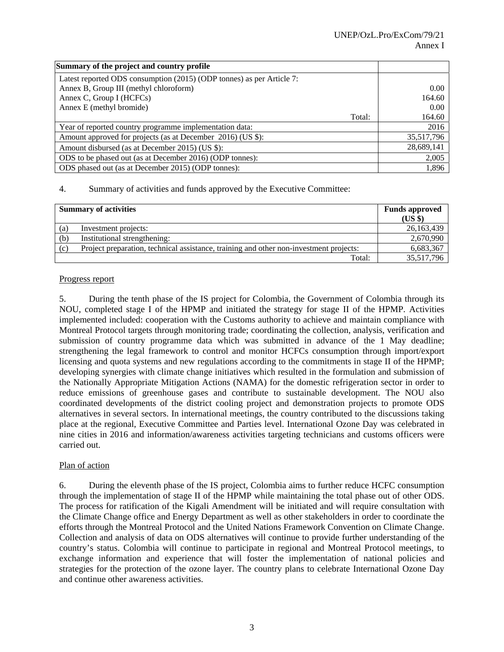| Summary of the project and country profile                            |            |
|-----------------------------------------------------------------------|------------|
| Latest reported ODS consumption (2015) (ODP tonnes) as per Article 7: |            |
| Annex B, Group III (methyl chloroform)                                | 0.00       |
| Annex C, Group I (HCFCs)                                              | 164.60     |
| Annex E (methyl bromide)                                              | 0.00       |
| Total:                                                                | 164.60     |
| Year of reported country programme implementation data:               | 2016       |
| Amount approved for projects (as at December 2016) (US \$):           | 35,517,796 |
| Amount disbursed (as at December 2015) (US \$):                       | 28,689,141 |
| ODS to be phased out (as at December 2016) (ODP tonnes):              | 2,005      |
| ODS phased out (as at December 2015) (ODP tonnes):                    | 1,896      |

### 4. Summary of activities and funds approved by the Executive Committee:

|     | <b>Summary of activities</b>                                                           |              |  |
|-----|----------------------------------------------------------------------------------------|--------------|--|
| (a) | Investment projects:                                                                   | 26, 163, 439 |  |
| (b) | Institutional strengthening:                                                           | 2,670,990    |  |
| (c) | Project preparation, technical assistance, training and other non-investment projects: | 6,683,367    |  |
|     | Total:                                                                                 | 35,517,796   |  |

### Progress report

5. During the tenth phase of the IS project for Colombia, the Government of Colombia through its NOU, completed stage I of the HPMP and initiated the strategy for stage II of the HPMP. Activities implemented included: cooperation with the Customs authority to achieve and maintain compliance with Montreal Protocol targets through monitoring trade; coordinating the collection, analysis, verification and submission of country programme data which was submitted in advance of the 1 May deadline; strengthening the legal framework to control and monitor HCFCs consumption through import/export licensing and quota systems and new regulations according to the commitments in stage II of the HPMP; developing synergies with climate change initiatives which resulted in the formulation and submission of the Nationally Appropriate Mitigation Actions (NAMA) for the domestic refrigeration sector in order to reduce emissions of greenhouse gases and contribute to sustainable development. The NOU also coordinated developments of the district cooling project and demonstration projects to promote ODS alternatives in several sectors. In international meetings, the country contributed to the discussions taking place at the regional, Executive Committee and Parties level. International Ozone Day was celebrated in nine cities in 2016 and information/awareness activities targeting technicians and customs officers were carried out.

### Plan of action

6. During the eleventh phase of the IS project, Colombia aims to further reduce HCFC consumption through the implementation of stage II of the HPMP while maintaining the total phase out of other ODS. The process for ratification of the Kigali Amendment will be initiated and will require consultation with the Climate Change office and Energy Department as well as other stakeholders in order to coordinate the efforts through the Montreal Protocol and the United Nations Framework Convention on Climate Change. Collection and analysis of data on ODS alternatives will continue to provide further understanding of the country's status. Colombia will continue to participate in regional and Montreal Protocol meetings, to exchange information and experience that will foster the implementation of national policies and strategies for the protection of the ozone layer. The country plans to celebrate International Ozone Day and continue other awareness activities.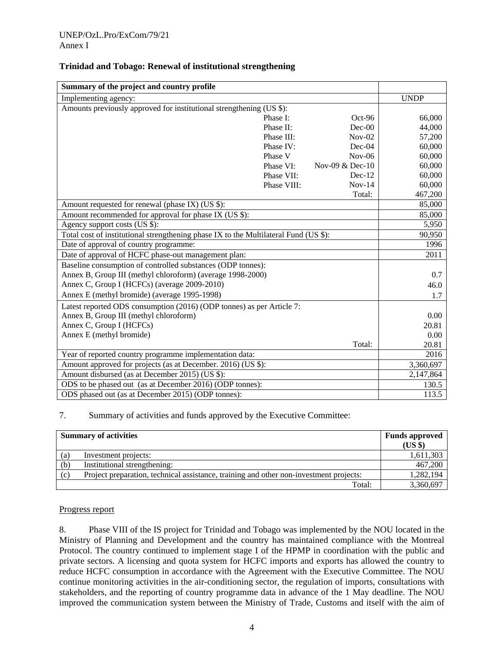| Summary of the project and country profile                                           |             |                 |             |
|--------------------------------------------------------------------------------------|-------------|-----------------|-------------|
| Implementing agency:                                                                 |             |                 | <b>UNDP</b> |
| Amounts previously approved for institutional strengthening (US \$):                 |             |                 |             |
|                                                                                      | Phase I:    | $Oct-96$        | 66,000      |
|                                                                                      | Phase II:   | $Dec-00$        | 44,000      |
|                                                                                      | Phase III:  | $Nov-02$        | 57,200      |
|                                                                                      | Phase IV:   | Dec-04          | 60,000      |
|                                                                                      | Phase V     | $Nov-06$        | 60,000      |
|                                                                                      | Phase VI:   | Nov-09 & Dec-10 | 60,000      |
|                                                                                      | Phase VII:  | $Dec-12$        | 60,000      |
|                                                                                      | Phase VIII: | $Nov-14$        | 60,000      |
|                                                                                      |             | Total:          | 467,200     |
| Amount requested for renewal (phase IX) (US \$):                                     |             |                 | 85,000      |
| Amount recommended for approval for phase IX (US \$):                                |             |                 | 85,000      |
| Agency support costs (US \$):                                                        | 5,950       |                 |             |
| Total cost of institutional strengthening phase IX to the Multilateral Fund (US \$): | 90,950      |                 |             |
| Date of approval of country programme:                                               | 1996        |                 |             |
| Date of approval of HCFC phase-out management plan:                                  | 2011        |                 |             |
| Baseline consumption of controlled substances (ODP tonnes):                          |             |                 |             |
| Annex B, Group III (methyl chloroform) (average 1998-2000)                           |             |                 | 0.7         |
| Annex C, Group I (HCFCs) (average 2009-2010)                                         |             |                 | 46.0        |
| Annex E (methyl bromide) (average 1995-1998)                                         |             |                 | 1.7         |
| Latest reported ODS consumption (2016) (ODP tonnes) as per Article 7:                |             |                 |             |
| Annex B, Group III (methyl chloroform)                                               |             |                 | 0.00        |
| Annex C, Group I (HCFCs)                                                             |             |                 | 20.81       |
| Annex E (methyl bromide)                                                             |             |                 | 0.00        |
|                                                                                      |             | Total:          | 20.81       |
| Year of reported country programme implementation data:                              |             |                 | 2016        |
| Amount approved for projects (as at December. 2016) (US \$):                         | 3,360,697   |                 |             |
| Amount disbursed (as at December 2015) (US \$):                                      | 2,147,864   |                 |             |
| ODS to be phased out (as at December 2016) (ODP tonnes):                             |             |                 | 130.5       |
| ODS phased out (as at December 2015) (ODP tonnes):                                   |             |                 | 113.5       |

### **Trinidad and Tobago: Renewal of institutional strengthening**

7. Summary of activities and funds approved by the Executive Committee:

|     | <b>Summary of activities</b>                                                           | <b>Funds approved</b><br>(US \$) |
|-----|----------------------------------------------------------------------------------------|----------------------------------|
| (a) | Investment projects:                                                                   | 1,611,303                        |
| (b) | Institutional strengthening:                                                           | 467,200                          |
| (c) | Project preparation, technical assistance, training and other non-investment projects: | 1,282,194                        |
|     | Total:                                                                                 | 3,360,697                        |

### Progress report

8. Phase VIII of the IS project for Trinidad and Tobago was implemented by the NOU located in the Ministry of Planning and Development and the country has maintained compliance with the Montreal Protocol. The country continued to implement stage I of the HPMP in coordination with the public and private sectors. A licensing and quota system for HCFC imports and exports has allowed the country to reduce HCFC consumption in accordance with the Agreement with the Executive Committee. The NOU continue monitoring activities in the air-conditioning sector, the regulation of imports, consultations with stakeholders, and the reporting of country programme data in advance of the 1 May deadline. The NOU improved the communication system between the Ministry of Trade, Customs and itself with the aim of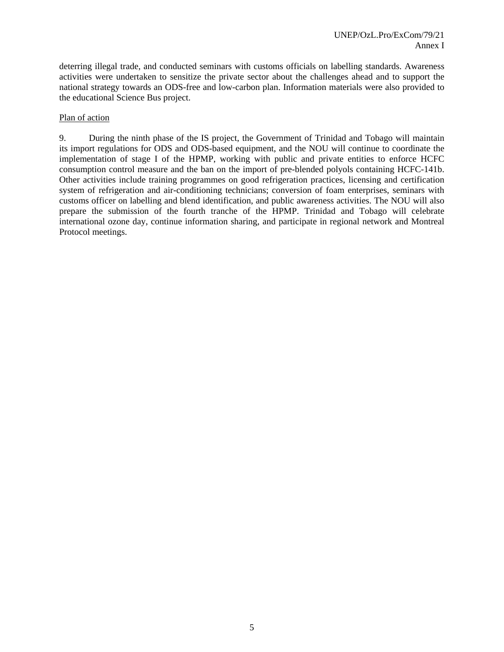deterring illegal trade, and conducted seminars with customs officials on labelling standards. Awareness activities were undertaken to sensitize the private sector about the challenges ahead and to support the national strategy towards an ODS-free and low-carbon plan. Information materials were also provided to the educational Science Bus project.

### Plan of action

9. During the ninth phase of the IS project, the Government of Trinidad and Tobago will maintain its import regulations for ODS and ODS-based equipment, and the NOU will continue to coordinate the implementation of stage I of the HPMP, working with public and private entities to enforce HCFC consumption control measure and the ban on the import of pre-blended polyols containing HCFC-141b. Other activities include training programmes on good refrigeration practices, licensing and certification system of refrigeration and air-conditioning technicians; conversion of foam enterprises, seminars with customs officer on labelling and blend identification, and public awareness activities. The NOU will also prepare the submission of the fourth tranche of the HPMP. Trinidad and Tobago will celebrate international ozone day, continue information sharing, and participate in regional network and Montreal Protocol meetings.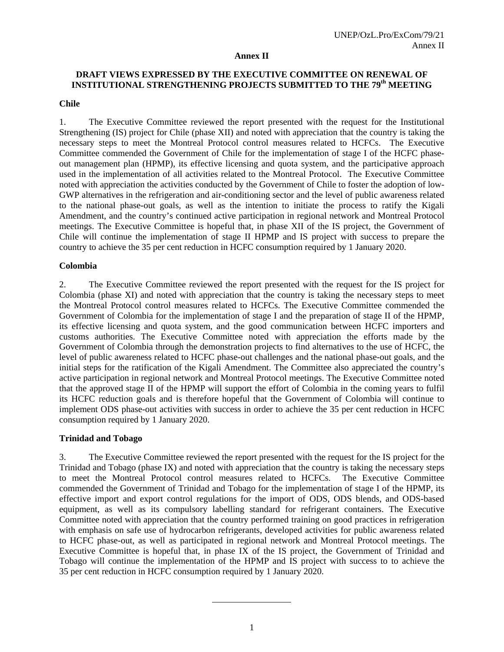### **Annex II**

## **DRAFT VIEWS EXPRESSED BY THE EXECUTIVE COMMITTEE ON RENEWAL OF INSTITUTIONAL STRENGTHENING PROJECTS SUBMITTED TO THE 79th MEETING**

### **Chile**

1. The Executive Committee reviewed the report presented with the request for the Institutional Strengthening (IS) project for Chile (phase XII) and noted with appreciation that the country is taking the necessary steps to meet the Montreal Protocol control measures related to HCFCs. The Executive Committee commended the Government of Chile for the implementation of stage I of the HCFC phaseout management plan (HPMP), its effective licensing and quota system, and the participative approach used in the implementation of all activities related to the Montreal Protocol. The Executive Committee noted with appreciation the activities conducted by the Government of Chile to foster the adoption of low-GWP alternatives in the refrigeration and air-conditioning sector and the level of public awareness related to the national phase-out goals, as well as the intention to initiate the process to ratify the Kigali Amendment, and the country's continued active participation in regional network and Montreal Protocol meetings. The Executive Committee is hopeful that, in phase XII of the IS project, the Government of Chile will continue the implementation of stage II HPMP and IS project with success to prepare the country to achieve the 35 per cent reduction in HCFC consumption required by 1 January 2020.

### **Colombia**

2. The Executive Committee reviewed the report presented with the request for the IS project for Colombia (phase XI) and noted with appreciation that the country is taking the necessary steps to meet the Montreal Protocol control measures related to HCFCs. The Executive Committee commended the Government of Colombia for the implementation of stage I and the preparation of stage II of the HPMP, its effective licensing and quota system, and the good communication between HCFC importers and customs authorities. The Executive Committee noted with appreciation the efforts made by the Government of Colombia through the demonstration projects to find alternatives to the use of HCFC, the level of public awareness related to HCFC phase-out challenges and the national phase-out goals, and the initial steps for the ratification of the Kigali Amendment. The Committee also appreciated the country's active participation in regional network and Montreal Protocol meetings. The Executive Committee noted that the approved stage II of the HPMP will support the effort of Colombia in the coming years to fulfil its HCFC reduction goals and is therefore hopeful that the Government of Colombia will continue to implement ODS phase-out activities with success in order to achieve the 35 per cent reduction in HCFC consumption required by 1 January 2020.

### **Trinidad and Tobago**

3. The Executive Committee reviewed the report presented with the request for the IS project for the Trinidad and Tobago (phase IX) and noted with appreciation that the country is taking the necessary steps to meet the Montreal Protocol control measures related to HCFCs. The Executive Committee commended the Government of Trinidad and Tobago for the implementation of stage I of the HPMP, its effective import and export control regulations for the import of ODS, ODS blends, and ODS-based equipment, as well as its compulsory labelling standard for refrigerant containers. The Executive Committee noted with appreciation that the country performed training on good practices in refrigeration with emphasis on safe use of hydrocarbon refrigerants, developed activities for public awareness related to HCFC phase-out, as well as participated in regional network and Montreal Protocol meetings. The Executive Committee is hopeful that, in phase IX of the IS project, the Government of Trinidad and Tobago will continue the implementation of the HPMP and IS project with success to to achieve the 35 per cent reduction in HCFC consumption required by 1 January 2020.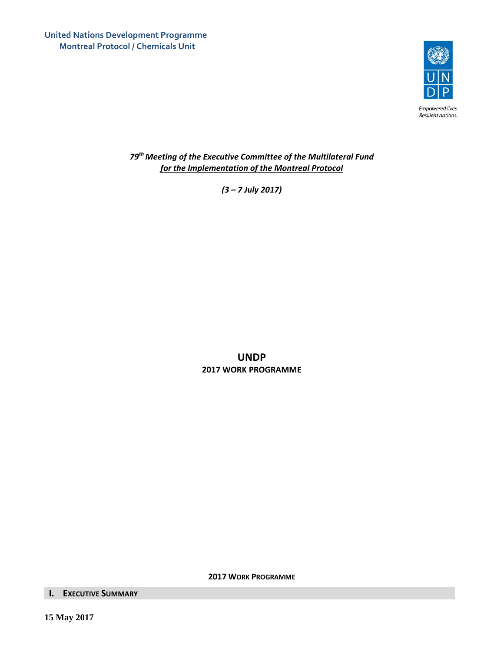**United Nations Development Programme Montreal Protocol / Chemicals Unit**



*79thMeeting of the Executive Committee of the Multilateral Fund for the Implementation of the Montreal Protocol*

*(3 – 7 July 2017)*

**UNDP 2017 WORK PROGRAMME**

**2017 WORK PROGRAMME**

**I. EXECUTIVE SUMMARY**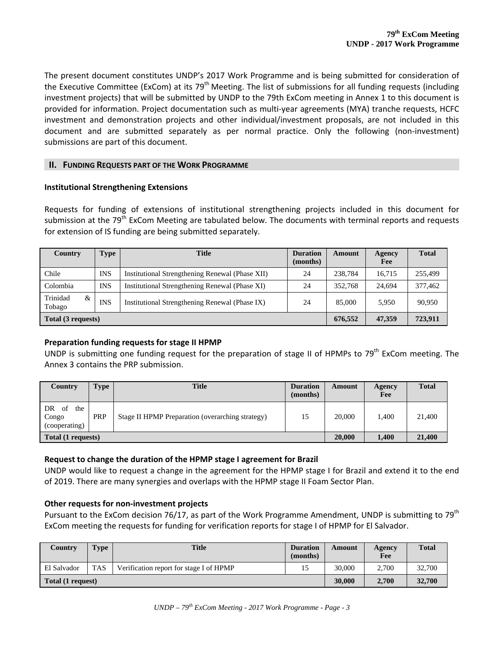The present document constitutes UNDP's 2017 Work Programme and is being submitted for consideration of the Executive Committee (ExCom) at its 79<sup>th</sup> Meeting. The list of submissions for all funding requests (including investment projects) that will be submitted by UNDP to the 79th ExCom meeting in Annex 1 to this document is provided for information. Project documentation such as multi‐year agreements (MYA) tranche requests, HCFC investment and demonstration projects and other individual/investment proposals, are not included in this document and are submitted separately as per normal practice. Only the following (non‐investment) submissions are part of this document.

### **II. FUNDING REQUESTS PART OF THE WORK PROGRAMME**

### **Institutional Strengthening Extensions**

Requests for funding of extensions of institutional strengthening projects included in this document for submission at the 79<sup>th</sup> ExCom Meeting are tabulated below. The documents with terminal reports and requests for extension of IS funding are being submitted separately.

| Country                 | Type       | <b>Title</b>                                    | <b>Duration</b><br>(months) | Amount  | Agency<br>Fee | <b>Total</b> |
|-------------------------|------------|-------------------------------------------------|-----------------------------|---------|---------------|--------------|
| Chile                   | <b>INS</b> | Institutional Strengthening Renewal (Phase XII) | 24                          | 238,784 | 16.715        | 255,499      |
| Colombia                | <b>INS</b> | Institutional Strengthening Renewal (Phase XI)  | 24                          | 352,768 | 24.694        | 377,462      |
| Trinidad<br>&<br>Tobago | <b>INS</b> | Institutional Strengthening Renewal (Phase IX)  | 24                          | 85,000  | 5.950         | 90.950       |
| Total (3 requests)      |            |                                                 |                             | 676,552 | 47,359        | 723,911      |

### **Preparation funding requests for stage II HPMP**

UNDP is submitting one funding request for the preparation of stage II of HPMPs to 79<sup>th</sup> ExCom meeting. The Annex 3 contains the PRP submission.

| Country                                   | Type       | <b>Title</b>                                     | <b>Duration</b><br>(months) | Amount | Agency<br>Fee | <b>Total</b> |
|-------------------------------------------|------------|--------------------------------------------------|-----------------------------|--------|---------------|--------------|
| DR<br>the<br>0f<br>Congo<br>(cooperating) | <b>PRP</b> | Stage II HPMP Preparation (overarching strategy) | 15                          | 20,000 | l.400         | 21,400       |
| Total (1 requests)                        |            |                                                  | 20,000                      | 1,400  | 21,400        |              |

### **Request to change the duration of the HPMP stage I agreement for Brazil**

UNDP would like to request a change in the agreement for the HPMP stage I for Brazil and extend it to the end of 2019. There are many synergies and overlaps with the HPMP stage II Foam Sector Plan.

### **Other requests for non‐investment projects**

Pursuant to the ExCom decision 76/17, as part of the Work Programme Amendment, UNDP is submitting to 79<sup>th</sup> ExCom meeting the requests for funding for verification reports for stage I of HPMP for El Salvador.

| <b>Country</b>    | <b>Type</b> | <b>Title</b>                            | <b>Duration</b><br>(months) | Amount | Agency<br>Fee | <b>Total</b> |
|-------------------|-------------|-----------------------------------------|-----------------------------|--------|---------------|--------------|
| El Salvador       | <b>TAS</b>  | Verification report for stage I of HPMP | 15                          | 30,000 | 2.700         | 32,700       |
| Total (1 request) |             | 30,000                                  | 2,700                       | 32,700 |               |              |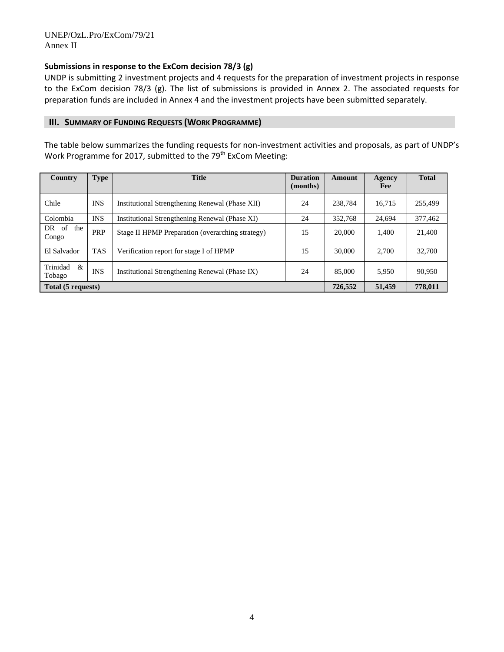### **Submissions in response to the ExCom decision 78/3 (g)**

UNDP is submitting 2 investment projects and 4 requests for the preparation of investment projects in response to the ExCom decision 78/3 (g). The list of submissions is provided in Annex 2. The associated requests for preparation funds are included in Annex 4 and the investment projects have been submitted separately.

### **III. SUMMARY OF FUNDING REQUESTS (WORK PROGRAMME)**

The table below summarizes the funding requests for non-investment activities and proposals, as part of UNDP's Work Programme for 2017, submitted to the  $79<sup>th</sup>$  ExCom Meeting:

| Country                 | <b>Type</b> | <b>Title</b>                                     | <b>Duration</b><br>(months) | Amount  | Agency<br>Fee | <b>Total</b> |
|-------------------------|-------------|--------------------------------------------------|-----------------------------|---------|---------------|--------------|
| Chile                   | <b>INS</b>  | Institutional Strengthening Renewal (Phase XII)  | 24                          | 238,784 | 16.715        | 255,499      |
| Colombia                | <b>INS</b>  | Institutional Strengthening Renewal (Phase XI)   | 24                          | 352,768 | 24.694        | 377,462      |
| DR of<br>the<br>Congo   | PRP         | Stage II HPMP Preparation (overarching strategy) | 15                          | 20,000  | 1.400         | 21,400       |
| El Salvador             | <b>TAS</b>  | Verification report for stage I of HPMP          | 15                          | 30,000  | 2.700         | 32,700       |
| Trinidad<br>&<br>Tobago | <b>INS</b>  | Institutional Strengthening Renewal (Phase IX)   | 24                          | 85,000  | 5.950         | 90,950       |
| Total (5 requests)      |             |                                                  |                             | 726,552 | 51,459        | 778,011      |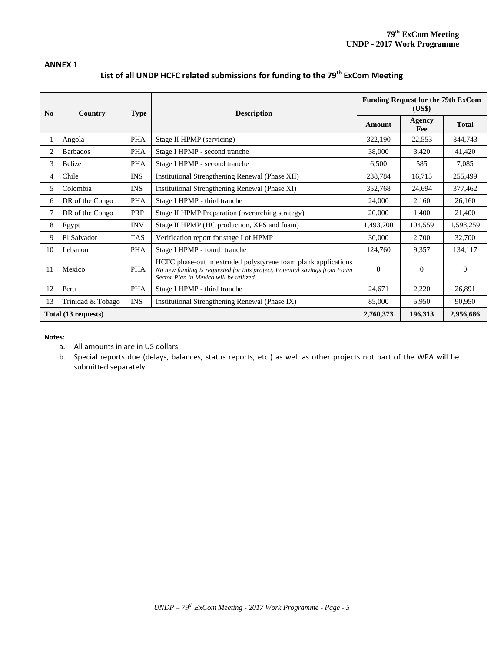## **List of all UNDP HCFC related submissions for funding to the 79th ExCom Meeting**

| N <sub>0</sub> | Country             | <b>Type</b> | <b>Description</b>                                                                                                                                                                     |           | <b>Funding Request for the 79th ExCom</b><br>(US\$) |              |  |  |
|----------------|---------------------|-------------|----------------------------------------------------------------------------------------------------------------------------------------------------------------------------------------|-----------|-----------------------------------------------------|--------------|--|--|
|                |                     |             |                                                                                                                                                                                        | Amount    | <b>Agency</b><br>Fee                                | <b>Total</b> |  |  |
|                | Angola              | PHA         | Stage II HPMP (servicing)                                                                                                                                                              | 322,190   | 22,553                                              | 344,743      |  |  |
| 2              | <b>Barbados</b>     | <b>PHA</b>  | Stage I HPMP - second tranche                                                                                                                                                          | 38,000    | 3,420                                               | 41,420       |  |  |
| 3              | Belize              | <b>PHA</b>  | Stage I HPMP - second tranche                                                                                                                                                          | 6,500     | 585                                                 | 7,085        |  |  |
| 4              | Chile               | <b>INS</b>  | Institutional Strengthening Renewal (Phase XII)                                                                                                                                        | 238,784   | 16,715                                              | 255,499      |  |  |
| 5              | Colombia            | <b>INS</b>  | Institutional Strengthening Renewal (Phase XI)                                                                                                                                         | 352,768   | 24,694                                              | 377,462      |  |  |
| 6              | DR of the Congo     | <b>PHA</b>  | Stage I HPMP - third tranche                                                                                                                                                           | 24,000    | 2,160                                               | 26,160       |  |  |
| 7              | DR of the Congo     | PRP         | Stage II HPMP Preparation (overarching strategy)                                                                                                                                       | 20,000    | 1,400                                               | 21,400       |  |  |
| 8              | Egypt               | <b>INV</b>  | Stage II HPMP (HC production, XPS and foam)                                                                                                                                            | 1,493,700 | 104,559                                             | 1,598,259    |  |  |
| 9              | El Salvador         | <b>TAS</b>  | Verification report for stage I of HPMP                                                                                                                                                | 30,000    | 2,700                                               | 32,700       |  |  |
| 10             | Lebanon             | <b>PHA</b>  | Stage I HPMP - fourth tranche                                                                                                                                                          | 124,760   | 9,357                                               | 134,117      |  |  |
| 11             | Mexico              | <b>PHA</b>  | HCFC phase-out in extruded polystyrene foam plank applications<br>No new funding is requested for this project. Potential savings from Foam<br>Sector Plan in Mexico will be utilized. | $\Omega$  | $\Omega$                                            | $\Omega$     |  |  |
| 12             | Peru                | <b>PHA</b>  | Stage I HPMP - third tranche                                                                                                                                                           | 24,671    | 2,220                                               | 26,891       |  |  |
| 13             | Trinidad & Tobago   | <b>INS</b>  | Institutional Strengthening Renewal (Phase IX)                                                                                                                                         | 85,000    | 5,950                                               | 90,950       |  |  |
|                | Total (13 requests) |             |                                                                                                                                                                                        | 2,760,373 | 196,313                                             | 2,956,686    |  |  |

#### **Notes:**

- a. All amounts in are in US dollars.
- b. Special reports due (delays, balances, status reports, etc.) as well as other projects not part of the WPA will be submitted separately.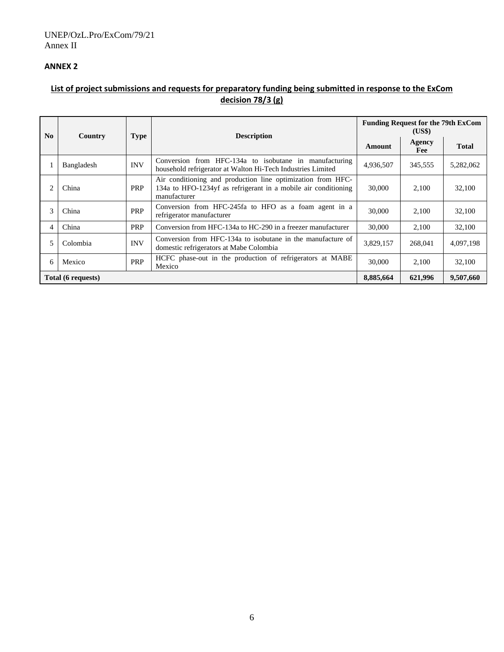## **List of project submissions and requests for preparatory funding being submitted in response to the ExCom decision 78/3 (g)**

| No<br>Country               |                    | <b>Type</b> | <b>Description</b>                                                                                                                            | <b>Funding Request for the 79th ExCom</b><br>(US\$) |               |              |  |
|-----------------------------|--------------------|-------------|-----------------------------------------------------------------------------------------------------------------------------------------------|-----------------------------------------------------|---------------|--------------|--|
|                             |                    |             |                                                                                                                                               | Amount                                              | Agency<br>Fee | <b>Total</b> |  |
|                             | Bangladesh         | <b>INV</b>  | Conversion from HFC-134a to isobutane in manufacturing<br>household refrigerator at Walton Hi-Tech Industries Limited                         | 4,936,507                                           | 345,555       | 5,282,062    |  |
| $\mathcal{D}_{\mathcal{L}}$ | China              | <b>PRP</b>  | Air conditioning and production line optimization from HFC-<br>134a to HFO-1234yf as refrigerant in a mobile air conditioning<br>manufacturer | 30,000                                              | 2,100         | 32,100       |  |
| 3                           | China              | <b>PRP</b>  | Conversion from HFC-245fa to HFO as a foam agent in a<br>refrigerator manufacturer                                                            | 30,000                                              | 2.100         | 32,100       |  |
| 4                           | China              | PRP         | Conversion from HFC-134a to HC-290 in a freezer manufacturer                                                                                  | 30,000                                              | 2,100         | 32,100       |  |
| 5.                          | Colombia           | <b>INV</b>  | Conversion from HFC-134a to isobutane in the manufacture of<br>domestic refrigerators at Mabe Colombia                                        | 3,829,157                                           | 268,041       | 4,097,198    |  |
| 6                           | Mexico             | PRP         | HCFC phase-out in the production of refrigerators at MABE<br>Mexico                                                                           | 30,000                                              | 2,100         | 32,100       |  |
|                             | Total (6 requests) |             |                                                                                                                                               | 8,885,664                                           | 621,996       | 9,507,660    |  |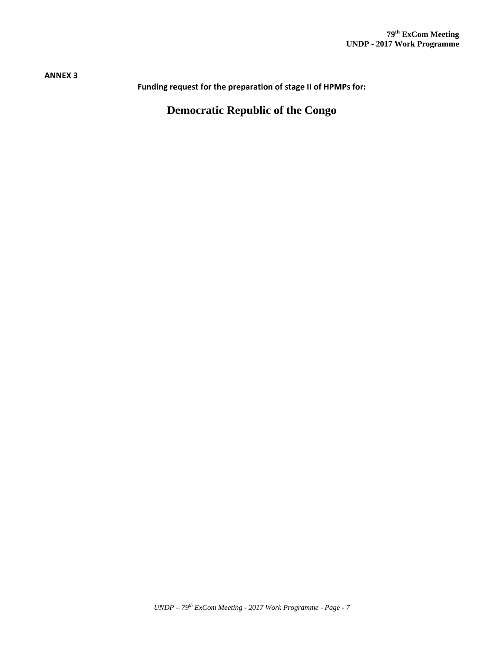**Funding request for the preparation of stage II of HPMPs for:**

## **Democratic Republic of the Congo**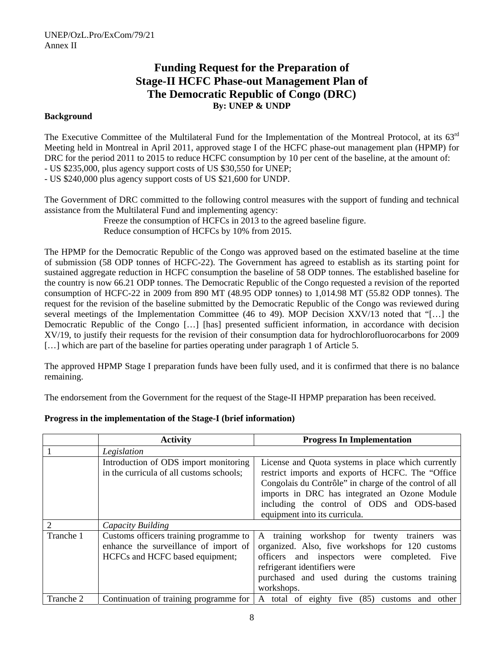## **Funding Request for the Preparation of Stage-II HCFC Phase-out Management Plan of The Democratic Republic of Congo (DRC) By: UNEP & UNDP**

### **Background**

The Executive Committee of the Multilateral Fund for the Implementation of the Montreal Protocol, at its 63<sup>rd</sup> Meeting held in Montreal in April 2011, approved stage I of the HCFC phase-out management plan (HPMP) for DRC for the period 2011 to 2015 to reduce HCFC consumption by 10 per cent of the baseline, at the amount of:

- US \$235,000, plus agency support costs of US \$30,550 for UNEP;

- US \$240,000 plus agency support costs of US \$21,600 for UNDP.

The Government of DRC committed to the following control measures with the support of funding and technical assistance from the Multilateral Fund and implementing agency:

> Freeze the consumption of HCFCs in 2013 to the agreed baseline figure. Reduce consumption of HCFCs by 10% from 2015.

The HPMP for the Democratic Republic of the Congo was approved based on the estimated baseline at the time of submission (58 ODP tonnes of HCFC-22). The Government has agreed to establish as its starting point for sustained aggregate reduction in HCFC consumption the baseline of 58 ODP tonnes. The established baseline for the country is now 66.21 ODP tonnes. The Democratic Republic of the Congo requested a revision of the reported consumption of HCFC-22 in 2009 from 890 MT (48.95 ODP tonnes) to 1,014.98 MT (55.82 ODP tonnes). The request for the revision of the baseline submitted by the Democratic Republic of the Congo was reviewed during several meetings of the Implementation Committee (46 to 49). MOP Decision XXV/13 noted that "[...] the Democratic Republic of the Congo […] [has] presented sufficient information, in accordance with decision XV/19, to justify their requests for the revision of their consumption data for hydrochlorofluorocarbons for 2009 [...] which are part of the baseline for parties operating under paragraph 1 of Article 5.

The approved HPMP Stage I preparation funds have been fully used, and it is confirmed that there is no balance remaining.

The endorsement from the Government for the request of the Stage-II HPMP preparation has been received.

### **Progress in the implementation of the Stage-I (brief information)**

|           | <b>Activity</b>                                                                                                    | <b>Progress In Implementation</b>                                                                                                                                                                                                                                                                 |
|-----------|--------------------------------------------------------------------------------------------------------------------|---------------------------------------------------------------------------------------------------------------------------------------------------------------------------------------------------------------------------------------------------------------------------------------------------|
|           | Legislation                                                                                                        |                                                                                                                                                                                                                                                                                                   |
|           | Introduction of ODS import monitoring<br>in the curricula of all customs schools;                                  | License and Quota systems in place which currently<br>restrict imports and exports of HCFC. The "Office<br>Congolais du Contrôle" in charge of the control of all<br>imports in DRC has integrated an Ozone Module<br>including the control of ODS and ODS-based<br>equipment into its curricula. |
| 2         | Capacity Building                                                                                                  |                                                                                                                                                                                                                                                                                                   |
| Tranche 1 | Customs officers training programme to<br>enhance the surveillance of import of<br>HCFCs and HCFC based equipment; | A training workshop for twenty trainers was<br>organized. Also, five workshops for 120 customs<br>officers and inspectors were completed.<br>Five<br>refrigerant identifiers were<br>purchased and used during the customs training<br>workshops.                                                 |
| Tranche 2 | Continuation of training programme for                                                                             | A total of eighty five (85) customs<br>other<br>and                                                                                                                                                                                                                                               |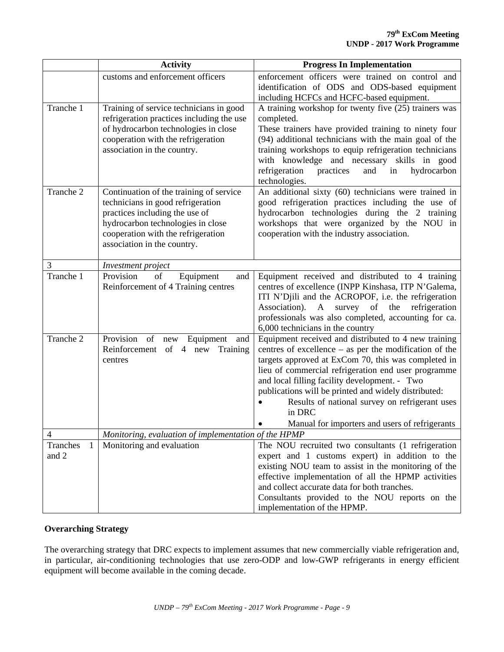|                                   | <b>Activity</b>                                                                                                                                                                                                          | <b>Progress In Implementation</b>                                                                                                                                                                                                                                                                                                                                                                                                                     |
|-----------------------------------|--------------------------------------------------------------------------------------------------------------------------------------------------------------------------------------------------------------------------|-------------------------------------------------------------------------------------------------------------------------------------------------------------------------------------------------------------------------------------------------------------------------------------------------------------------------------------------------------------------------------------------------------------------------------------------------------|
|                                   | customs and enforcement officers                                                                                                                                                                                         | enforcement officers were trained on control and<br>identification of ODS and ODS-based equipment<br>including HCFCs and HCFC-based equipment.                                                                                                                                                                                                                                                                                                        |
| Tranche 1                         | Training of service technicians in good<br>refrigeration practices including the use<br>of hydrocarbon technologies in close<br>cooperation with the refrigeration<br>association in the country.                        | A training workshop for twenty five (25) trainers was<br>completed.<br>These trainers have provided training to ninety four<br>(94) additional technicians with the main goal of the<br>training workshops to equip refrigeration technicians<br>with knowledge and necessary skills in good<br>refrigeration<br>practices<br>and<br>in<br>hydrocarbon<br>technologies.                                                                               |
| Tranche 2                         | Continuation of the training of service<br>technicians in good refrigeration<br>practices including the use of<br>hydrocarbon technologies in close<br>cooperation with the refrigeration<br>association in the country. | An additional sixty (60) technicians were trained in<br>good refrigeration practices including the use of<br>hydrocarbon technologies during the 2 training<br>workshops that were organized by the NOU in<br>cooperation with the industry association.                                                                                                                                                                                              |
| 3                                 | Investment project                                                                                                                                                                                                       |                                                                                                                                                                                                                                                                                                                                                                                                                                                       |
| Tranche 1                         | Provision<br>Equipment<br>of<br>and<br>Reinforcement of 4 Training centres                                                                                                                                               | Equipment received and distributed to 4 training<br>centres of excellence (INPP Kinshasa, ITP N'Galema,<br>ITI N'Djili and the ACROPOF, i.e. the refrigeration<br>A survey of the<br>Association).<br>refrigeration<br>professionals was also completed, accounting for ca.<br>6,000 technicians in the country                                                                                                                                       |
| Tranche 2                         | Provision<br>of<br>Equipment<br>new<br>and<br>Reinforcement<br>of $4$<br>new<br>Training<br>centres                                                                                                                      | Equipment received and distributed to 4 new training<br>centres of excellence $-$ as per the modification of the<br>targets approved at ExCom 70, this was completed in<br>lieu of commercial refrigeration end user programme<br>and local filling facility development. - Two<br>publications will be printed and widely distributed:<br>Results of national survey on refrigerant uses<br>in DRC<br>Manual for importers and users of refrigerants |
| $\overline{4}$                    | Monitoring, evaluation of implementation of the HPMP                                                                                                                                                                     |                                                                                                                                                                                                                                                                                                                                                                                                                                                       |
| Tranches<br>$\mathbf{1}$<br>and 2 | Monitoring and evaluation                                                                                                                                                                                                | The NOU recruited two consultants (1 refrigeration<br>expert and 1 customs expert) in addition to the<br>existing NOU team to assist in the monitoring of the<br>effective implementation of all the HPMP activities<br>and collect accurate data for both tranches.<br>Consultants provided to the NOU reports on the<br>implementation of the HPMP.                                                                                                 |

## **Overarching Strategy**

The overarching strategy that DRC expects to implement assumes that new commercially viable refrigeration and, in particular, air-conditioning technologies that use zero-ODP and low-GWP refrigerants in energy efficient equipment will become available in the coming decade.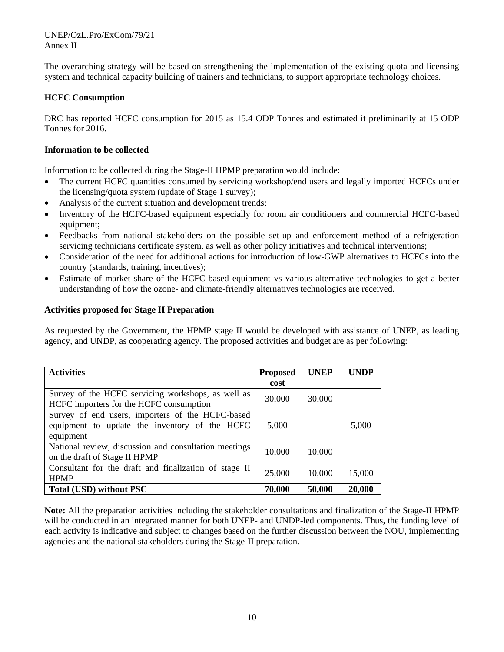UNEP/OzL.Pro/ExCom/79/21 Annex II

The overarching strategy will be based on strengthening the implementation of the existing quota and licensing system and technical capacity building of trainers and technicians, to support appropriate technology choices.

### **HCFC Consumption**

DRC has reported HCFC consumption for 2015 as 15.4 ODP Tonnes and estimated it preliminarily at 15 ODP Tonnes for 2016.

### **Information to be collected**

Information to be collected during the Stage-II HPMP preparation would include:

- The current HCFC quantities consumed by servicing workshop/end users and legally imported HCFCs under the licensing/quota system (update of Stage 1 survey);
- Analysis of the current situation and development trends;
- Inventory of the HCFC-based equipment especially for room air conditioners and commercial HCFC-based equipment;
- Feedbacks from national stakeholders on the possible set-up and enforcement method of a refrigeration servicing technicians certificate system, as well as other policy initiatives and technical interventions;
- Consideration of the need for additional actions for introduction of low-GWP alternatives to HCFCs into the country (standards, training, incentives);
- Estimate of market share of the HCFC-based equipment vs various alternative technologies to get a better understanding of how the ozone- and climate-friendly alternatives technologies are received.

### **Activities proposed for Stage II Preparation**

As requested by the Government, the HPMP stage II would be developed with assistance of UNEP, as leading agency, and UNDP, as cooperating agency. The proposed activities and budget are as per following:

| <b>Activities</b>                                                                                              | <b>Proposed</b> | <b>UNEP</b> | <b>UNDP</b> |
|----------------------------------------------------------------------------------------------------------------|-----------------|-------------|-------------|
|                                                                                                                | cost            |             |             |
| Survey of the HCFC servicing workshops, as well as<br>HCFC importers for the HCFC consumption                  | 30,000          | 30,000      |             |
| Survey of end users, importers of the HCFC-based<br>equipment to update the inventory of the HCFC<br>equipment | 5,000           |             | 5,000       |
| National review, discussion and consultation meetings<br>on the draft of Stage II HPMP                         | 10,000          | 10,000      |             |
| Consultant for the draft and finalization of stage II<br><b>HPMP</b>                                           | 25,000          | 10,000      | 15,000      |
| Total (USD) without PSC                                                                                        | 70,000          | 50,000      | 20,000      |

**Note:** All the preparation activities including the stakeholder consultations and finalization of the Stage-II HPMP will be conducted in an integrated manner for both UNEP- and UNDP-led components. Thus, the funding level of each activity is indicative and subject to changes based on the further discussion between the NOU, implementing agencies and the national stakeholders during the Stage-II preparation.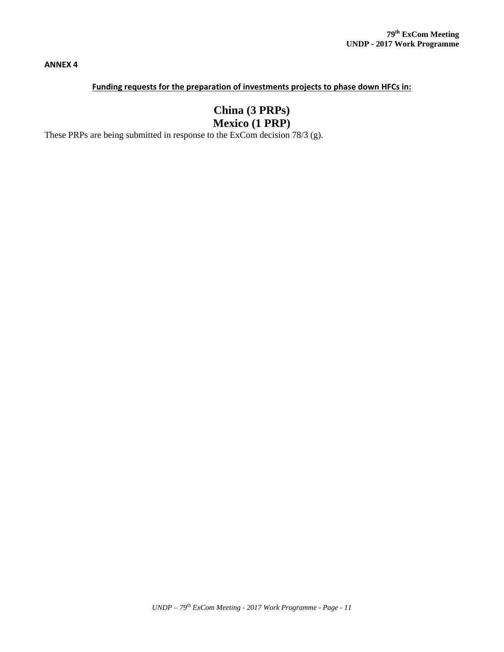## **Funding requests for the preparation of investments projects to phase down HFCs in:**

## **China (3 PRPs) Mexico (1 PRP)**

These PRPs are being submitted in response to the ExCom decision 78/3 (g).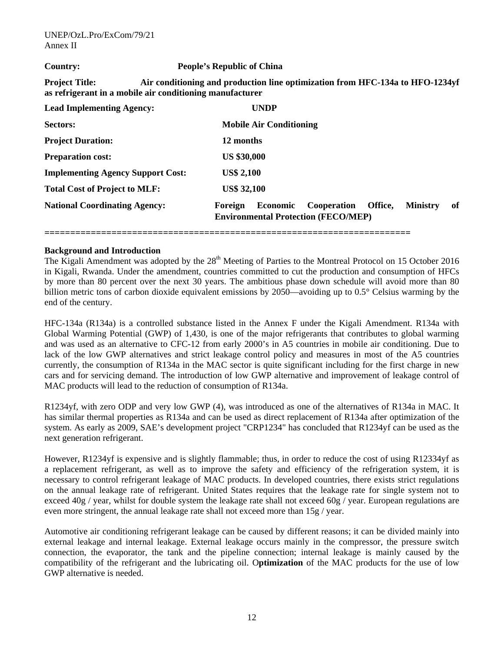UNEP/OzL.Pro/ExCom/79/21 Annex II

**Country: People's Republic of China** 

**Project Title: Air conditioning and production line optimization from HFC-134a to HFO-1234yf as refrigerant in a mobile air conditioning manufacturer** 

| <b>Lead Implementing Agency:</b>         | <b>UNDP</b>                                                                                                                 |  |  |  |
|------------------------------------------|-----------------------------------------------------------------------------------------------------------------------------|--|--|--|
| Sectors:                                 | <b>Mobile Air Conditioning</b>                                                                                              |  |  |  |
| <b>Project Duration:</b>                 | 12 months                                                                                                                   |  |  |  |
| <b>Preparation cost:</b>                 | <b>US \$30,000</b>                                                                                                          |  |  |  |
| <b>Implementing Agency Support Cost:</b> | <b>US\$ 2,100</b>                                                                                                           |  |  |  |
| <b>Total Cost of Project to MLF:</b>     | <b>US\$ 32,100</b>                                                                                                          |  |  |  |
| <b>National Coordinating Agency:</b>     | of<br>Office,<br><b>Ministry</b><br>Cooperation<br><b>Economic</b><br>Foreign<br><b>Environmental Protection (FECO/MEP)</b> |  |  |  |

# **=======================================================================**

### **Background and Introduction**

The Kigali Amendment was adopted by the 28<sup>th</sup> Meeting of Parties to the Montreal Protocol on 15 October 2016 in Kigali, Rwanda. Under the amendment, countries committed to cut the production and consumption of HFCs by more than 80 percent over the next 30 years. The ambitious phase down schedule will avoid more than 80 billion metric tons of carbon dioxide equivalent emissions by 2050—avoiding up to 0.5° Celsius warming by the end of the century.

HFC-134a (R134a) is a controlled substance listed in the Annex F under the Kigali Amendment. R134a with Global Warming Potential (GWP) of 1,430, is one of the major refrigerants that contributes to global warming and was used as an alternative to CFC-12 from early 2000's in A5 countries in mobile air conditioning. Due to lack of the low GWP alternatives and strict leakage control policy and measures in most of the A5 countries currently, the consumption of R134a in the MAC sector is quite significant including for the first charge in new cars and for servicing demand. The introduction of low GWP alternative and improvement of leakage control of MAC products will lead to the reduction of consumption of R134a.

R1234yf, with zero ODP and very low GWP (4), was introduced as one of the alternatives of R134a in MAC. It has similar thermal properties as R134a and can be used as direct replacement of R134a after optimization of the system. As early as 2009, SAE's development project "CRP1234" has concluded that R1234yf can be used as the next generation refrigerant.

However, R1234yf is expensive and is slightly flammable; thus, in order to reduce the cost of using R12334yf as a replacement refrigerant, as well as to improve the safety and efficiency of the refrigeration system, it is necessary to control refrigerant leakage of MAC products. In developed countries, there exists strict regulations on the annual leakage rate of refrigerant. United States requires that the leakage rate for single system not to exceed  $40g / year$ , whilst for double system the leakage rate shall not exceed  $60g / year$ . European regulations are even more stringent, the annual leakage rate shall not exceed more than  $15g / year$ .

Automotive air conditioning refrigerant leakage can be caused by different reasons; it can be divided mainly into external leakage and internal leakage. External leakage occurs mainly in the compressor, the pressure switch connection, the evaporator, the tank and the pipeline connection; internal leakage is mainly caused by the compatibility of the refrigerant and the lubricating oil. O**ptimization** of the MAC products for the use of low GWP alternative is needed.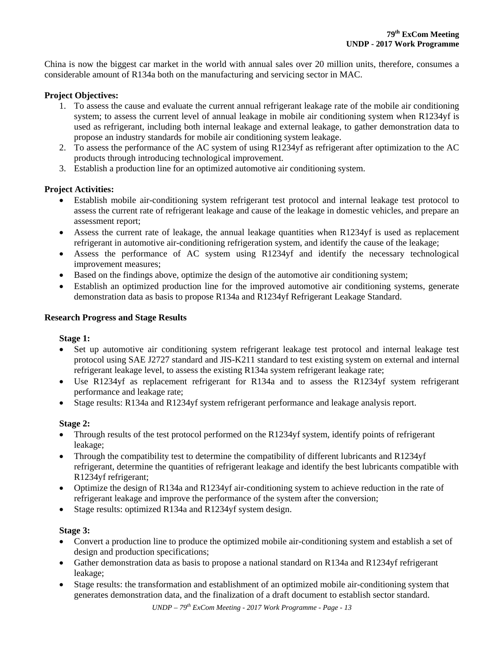China is now the biggest car market in the world with annual sales over 20 million units, therefore, consumes a considerable amount of R134a both on the manufacturing and servicing sector in MAC.

### **Project Objectives:**

- 1. To assess the cause and evaluate the current annual refrigerant leakage rate of the mobile air conditioning system; to assess the current level of annual leakage in mobile air conditioning system when R1234yf is used as refrigerant, including both internal leakage and external leakage, to gather demonstration data to propose an industry standards for mobile air conditioning system leakage.
- 2. To assess the performance of the AC system of using R1234yf as refrigerant after optimization to the AC products through introducing technological improvement.
- 3. Establish a production line for an optimized automotive air conditioning system.

### **Project Activities:**

- Establish mobile air-conditioning system refrigerant test protocol and internal leakage test protocol to assess the current rate of refrigerant leakage and cause of the leakage in domestic vehicles, and prepare an assessment report;
- Assess the current rate of leakage, the annual leakage quantities when R1234yf is used as replacement refrigerant in automotive air-conditioning refrigeration system, and identify the cause of the leakage;
- Assess the performance of AC system using R1234yf and identify the necessary technological improvement measures;
- Based on the findings above, optimize the design of the automotive air conditioning system;
- Establish an optimized production line for the improved automotive air conditioning systems, generate demonstration data as basis to propose R134a and R1234yf Refrigerant Leakage Standard.

### **Research Progress and Stage Results**

### **Stage 1:**

- Set up automotive air conditioning system refrigerant leakage test protocol and internal leakage test protocol using SAE J2727 standard and JIS-K211 standard to test existing system on external and internal refrigerant leakage level, to assess the existing R134a system refrigerant leakage rate;
- Use R1234yf as replacement refrigerant for R134a and to assess the R1234yf system refrigerant performance and leakage rate;
- Stage results: R134a and R1234yf system refrigerant performance and leakage analysis report.

### **Stage 2:**

- Through results of the test protocol performed on the R1234yf system, identify points of refrigerant leakage;
- Through the compatibility test to determine the compatibility of different lubricants and R1234yf refrigerant, determine the quantities of refrigerant leakage and identify the best lubricants compatible with R1234yf refrigerant;
- Optimize the design of R134a and R1234yf air-conditioning system to achieve reduction in the rate of refrigerant leakage and improve the performance of the system after the conversion;
- Stage results: optimized R134a and R1234yf system design.

### **Stage 3:**

- Convert a production line to produce the optimized mobile air-conditioning system and establish a set of design and production specifications;
- Gather demonstration data as basis to propose a national standard on R134a and R1234yf refrigerant leakage;
- Stage results: the transformation and establishment of an optimized mobile air-conditioning system that generates demonstration data, and the finalization of a draft document to establish sector standard.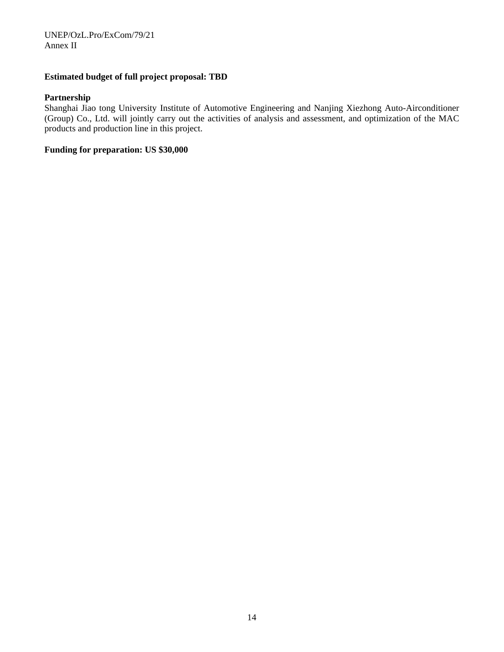### **Estimated budget of full project proposal: TBD**

### **Partnership**

Shanghai Jiao tong University Institute of Automotive Engineering and Nanjing Xiezhong Auto-Airconditioner (Group) Co., Ltd. will jointly carry out the activities of analysis and assessment, and optimization of the MAC products and production line in this project.

## **Funding for preparation: US \$30,000**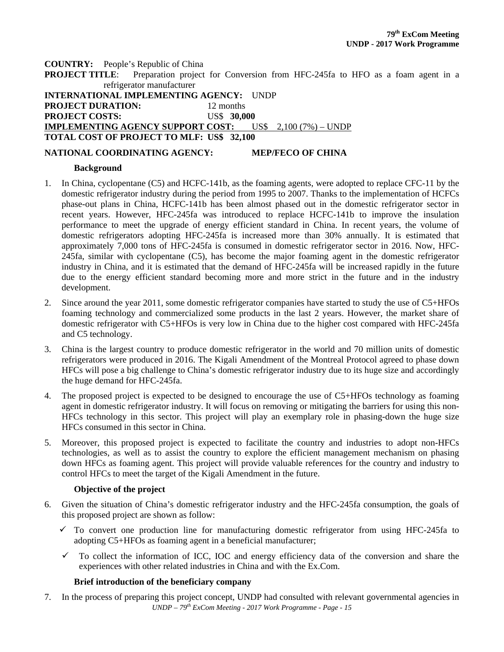**COUNTRY:** People's Republic of China **PROJECT TITLE**: Preparation project for Conversion from HFC-245fa to HFO as a foam agent in a refrigerator manufacturer **INTERNATIONAL IMPLEMENTING AGENCY:** UNDP **PROJECT DURATION:** 12 months **PROJECT COSTS:** US\$ **30,000 IMPLEMENTING AGENCY SUPPORT COST:** US\$ 2,100 (7%) – UNDP **TOTAL COST OF PROJECT TO MLF: US\$ 32,100** 

### **NATIONAL COORDINATING AGENCY: MEP/FECO OF CHINA**

### **Background**

- 1. In China, cyclopentane (C5) and HCFC-141b, as the foaming agents, were adopted to replace CFC-11 by the domestic refrigerator industry during the period from 1995 to 2007. Thanks to the implementation of HCFCs phase-out plans in China, HCFC-141b has been almost phased out in the domestic refrigerator sector in recent years. However, HFC-245fa was introduced to replace HCFC-141b to improve the insulation performance to meet the upgrade of energy efficient standard in China. In recent years, the volume of domestic refrigerators adopting HFC-245fa is increased more than 30% annually. It is estimated that approximately 7,000 tons of HFC-245fa is consumed in domestic refrigerator sector in 2016. Now, HFC-245fa, similar with cyclopentane (C5), has become the major foaming agent in the domestic refrigerator industry in China, and it is estimated that the demand of HFC-245fa will be increased rapidly in the future due to the energy efficient standard becoming more and more strict in the future and in the industry development.
- 2. Since around the year 2011, some domestic refrigerator companies have started to study the use of C5+HFOs foaming technology and commercialized some products in the last 2 years. However, the market share of domestic refrigerator with C5+HFOs is very low in China due to the higher cost compared with HFC-245fa and C5 technology.
- 3. China is the largest country to produce domestic refrigerator in the world and 70 million units of domestic refrigerators were produced in 2016. The Kigali Amendment of the Montreal Protocol agreed to phase down HFCs will pose a big challenge to China's domestic refrigerator industry due to its huge size and accordingly the huge demand for HFC-245fa.
- 4. The proposed project is expected to be designed to encourage the use of C5+HFOs technology as foaming agent in domestic refrigerator industry. It will focus on removing or mitigating the barriers for using this non-HFCs technology in this sector. This project will play an exemplary role in phasing-down the huge size HFCs consumed in this sector in China.
- 5. Moreover, this proposed project is expected to facilitate the country and industries to adopt non-HFCs technologies, as well as to assist the country to explore the efficient management mechanism on phasing down HFCs as foaming agent. This project will provide valuable references for the country and industry to control HFCs to meet the target of the Kigali Amendment in the future.

### **Objective of the project**

- 6. Given the situation of China's domestic refrigerator industry and the HFC-245fa consumption, the goals of this proposed project are shown as follow:
	- $\checkmark$  To convert one production line for manufacturing domestic refrigerator from using HFC-245fa to adopting C5+HFOs as foaming agent in a beneficial manufacturer;
	- $\checkmark$  To collect the information of ICC, IOC and energy efficiency data of the conversion and share the experiences with other related industries in China and with the Ex.Com.

### **Brief introduction of the beneficiary company**

*UNDP – 79th ExCom Meeting - 2017 Work Programme - Page - 15*  7. In the process of preparing this project concept, UNDP had consulted with relevant governmental agencies in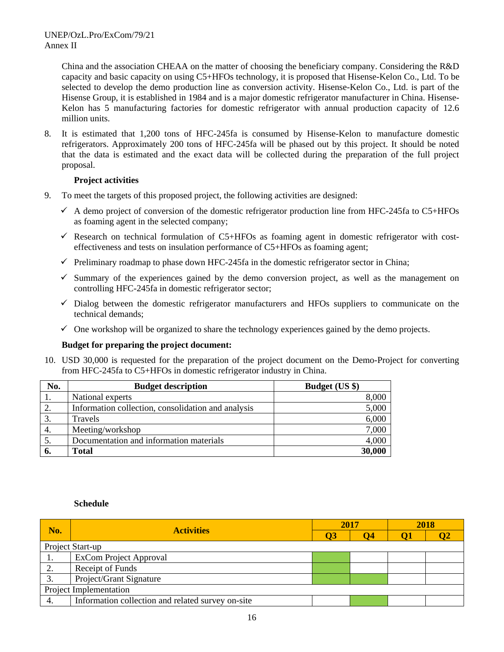China and the association CHEAA on the matter of choosing the beneficiary company. Considering the R&D capacity and basic capacity on using C5+HFOs technology, it is proposed that Hisense-Kelon Co., Ltd. To be selected to develop the demo production line as conversion activity. Hisense-Kelon Co., Ltd. is part of the Hisense Group, it is established in 1984 and is a major domestic refrigerator manufacturer in China. Hisense-Kelon has 5 manufacturing factories for domestic refrigerator with annual production capacity of 12.6 million units.

8. It is estimated that 1,200 tons of HFC-245fa is consumed by Hisense-Kelon to manufacture domestic refrigerators. Approximately 200 tons of HFC-245fa will be phased out by this project. It should be noted that the data is estimated and the exact data will be collected during the preparation of the full project proposal.

### **Project activities**

- 9. To meet the targets of this proposed project, the following activities are designed:
	- $\checkmark$  A demo project of conversion of the domestic refrigerator production line from HFC-245fa to C5+HFOs as foaming agent in the selected company;
	- $\checkmark$  Research on technical formulation of C5+HFOs as foaming agent in domestic refrigerator with costeffectiveness and tests on insulation performance of C5+HFOs as foaming agent;
	- $\checkmark$  Preliminary roadmap to phase down HFC-245fa in the domestic refrigerator sector in China;
	- $\checkmark$  Summary of the experiences gained by the demo conversion project, as well as the management on controlling HFC-245fa in domestic refrigerator sector;
	- $\checkmark$  Dialog between the domestic refrigerator manufacturers and HFOs suppliers to communicate on the technical demands;
	- $\checkmark$  One workshop will be organized to share the technology experiences gained by the demo projects.

### **Budget for preparing the project document:**

10. USD 30,000 is requested for the preparation of the project document on the Demo-Project for converting from HFC-245fa to C5+HFOs in domestic refrigerator industry in China.

| No. | <b>Budget description</b>                          | <b>Budget (US \$)</b> |
|-----|----------------------------------------------------|-----------------------|
| 1.  | National experts                                   | 8,000                 |
| 2.  | Information collection, consolidation and analysis | 5,000                 |
| 3.  | Travels                                            | 6,000                 |
| 4.  | Meeting/workshop                                   | 7,000                 |
| 5.  | Documentation and information materials            | 4,000                 |
| 6.  | <b>Total</b>                                       | 30,000                |

### **Schedule**

| No.                    | <b>Activities</b>                                 | 2017 |    | 2018 |  |
|------------------------|---------------------------------------------------|------|----|------|--|
|                        |                                                   | O3   | 04 |      |  |
| Project Start-up       |                                                   |      |    |      |  |
|                        | <b>ExCom Project Approval</b>                     |      |    |      |  |
|                        | Receipt of Funds                                  |      |    |      |  |
|                        | Project/Grant Signature                           |      |    |      |  |
| Project Implementation |                                                   |      |    |      |  |
| 4.                     | Information collection and related survey on-site |      |    |      |  |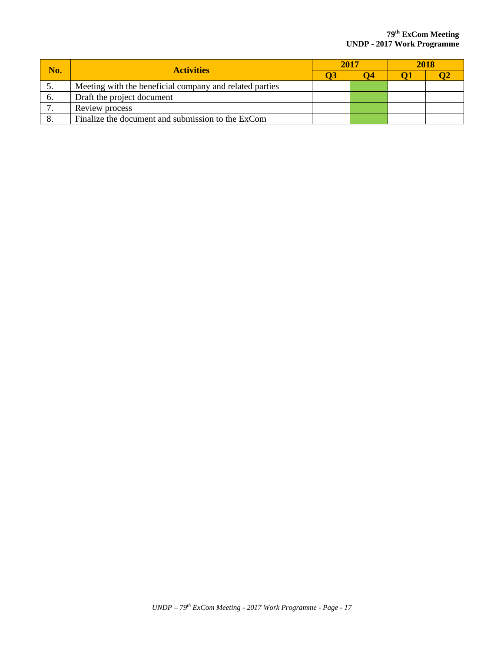| No.        | <b>Activities</b>                                       | 2017 | 2018 |  |  |
|------------|---------------------------------------------------------|------|------|--|--|
|            |                                                         |      |      |  |  |
|            | Meeting with the beneficial company and related parties |      |      |  |  |
| $\sigma$ . | Draft the project document                              |      |      |  |  |
|            | Review process                                          |      |      |  |  |
|            | Finalize the document and submission to the ExCom       |      |      |  |  |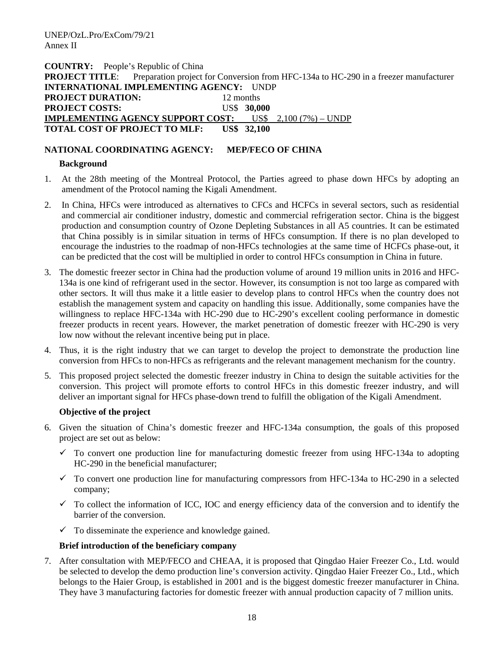UNEP/OzL.Pro/ExCom/79/21 Annex II

**COUNTRY:** People's Republic of China **PROJECT TITLE**: Preparation project for Conversion from HFC-134a to HC-290 in a freezer manufacturer **INTERNATIONAL IMPLEMENTING AGENCY:** UNDP **PROJECT DURATION:** 12 months **PROJECT COSTS:** US\$ **30,000 IMPLEMENTING AGENCY SUPPORT COST:** US\$ 2,100 (7%) – UNDP **TOTAL COST OF PROJECT TO MLF: US\$ 32,100** 

## **NATIONAL COORDINATING AGENCY: MEP/FECO OF CHINA**

### **Background**

- 1. At the 28th meeting of the Montreal Protocol, the Parties agreed to phase down HFCs by adopting an amendment of the Protocol naming the Kigali Amendment.
- 2. In China, HFCs were introduced as alternatives to CFCs and HCFCs in several sectors, such as residential and commercial air conditioner industry, domestic and commercial refrigeration sector. China is the biggest production and consumption country of Ozone Depleting Substances in all A5 countries. It can be estimated that China possibly is in similar situation in terms of HFCs consumption. If there is no plan developed to encourage the industries to the roadmap of non-HFCs technologies at the same time of HCFCs phase-out, it can be predicted that the cost will be multiplied in order to control HFCs consumption in China in future.
- 3. The domestic freezer sector in China had the production volume of around 19 million units in 2016 and HFC-134a is one kind of refrigerant used in the sector. However, its consumption is not too large as compared with other sectors. It will thus make it a little easier to develop plans to control HFCs when the country does not establish the management system and capacity on handling this issue. Additionally, some companies have the willingness to replace HFC-134a with HC-290 due to HC-290's excellent cooling performance in domestic freezer products in recent years. However, the market penetration of domestic freezer with HC-290 is very low now without the relevant incentive being put in place.
- 4. Thus, it is the right industry that we can target to develop the project to demonstrate the production line conversion from HFCs to non-HFCs as refrigerants and the relevant management mechanism for the country.
- 5. This proposed project selected the domestic freezer industry in China to design the suitable activities for the conversion. This project will promote efforts to control HFCs in this domestic freezer industry, and will deliver an important signal for HFCs phase-down trend to fulfill the obligation of the Kigali Amendment.

### **Objective of the project**

- 6. Given the situation of China's domestic freezer and HFC-134a consumption, the goals of this proposed project are set out as below:
	- $\checkmark$  To convert one production line for manufacturing domestic freezer from using HFC-134a to adopting HC-290 in the beneficial manufacturer;
	- $\checkmark$  To convert one production line for manufacturing compressors from HFC-134a to HC-290 in a selected company;
	- $\checkmark$  To collect the information of ICC, IOC and energy efficiency data of the conversion and to identify the barrier of the conversion.
	- $\checkmark$  To disseminate the experience and knowledge gained.

### **Brief introduction of the beneficiary company**

7. After consultation with MEP/FECO and CHEAA, it is proposed that Qingdao Haier Freezer Co., Ltd. would be selected to develop the demo production line's conversion activity. Qingdao Haier Freezer Co., Ltd., which belongs to the Haier Group, is established in 2001 and is the biggest domestic freezer manufacturer in China. They have 3 manufacturing factories for domestic freezer with annual production capacity of 7 million units.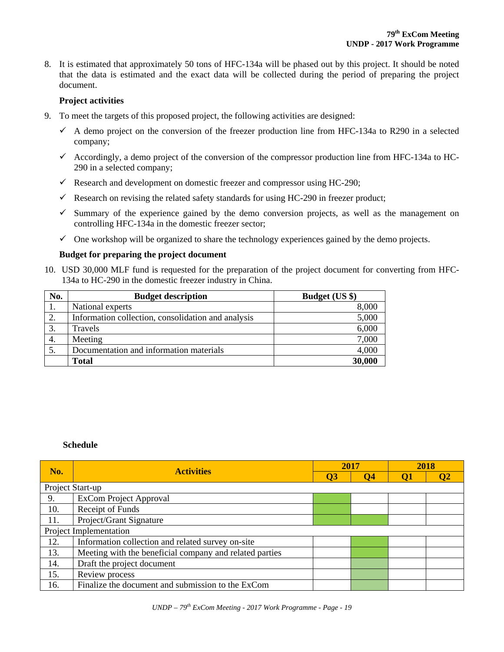8. It is estimated that approximately 50 tons of HFC-134a will be phased out by this project. It should be noted that the data is estimated and the exact data will be collected during the period of preparing the project document.

### **Project activities**

- 9. To meet the targets of this proposed project, the following activities are designed:
	- $\checkmark$  A demo project on the conversion of the freezer production line from HFC-134a to R290 in a selected company;
	- $\checkmark$  Accordingly, a demo project of the conversion of the compressor production line from HFC-134a to HC-290 in a selected company;
	- $\checkmark$  Research and development on domestic freezer and compressor using HC-290;
	- $\checkmark$  Research on revising the related safety standards for using HC-290 in freezer product;
	- $\checkmark$  Summary of the experience gained by the demo conversion projects, as well as the management on controlling HFC-134a in the domestic freezer sector;
	- $\checkmark$  One workshop will be organized to share the technology experiences gained by the demo projects.

### **Budget for preparing the project document**

10. USD 30,000 MLF fund is requested for the preparation of the project document for converting from HFC-134a to HC-290 in the domestic freezer industry in China.

| No. | <b>Budget description</b>                          | <b>Budget (US \$)</b> |
|-----|----------------------------------------------------|-----------------------|
|     | National experts                                   | 8,000                 |
| 2.  | Information collection, consolidation and analysis | 5,000                 |
| 3.  | <b>Travels</b>                                     | 6,000                 |
| 4.  | Meeting                                            | 7,000                 |
|     | Documentation and information materials            | 4,000                 |
|     | <b>Total</b>                                       | 30,000                |

### **Schedule**

| No. | <b>Activities</b>                                       | 2017      |                | 2018     |           |
|-----|---------------------------------------------------------|-----------|----------------|----------|-----------|
|     |                                                         | <b>O3</b> | O <sub>4</sub> | $\Omega$ | <b>O2</b> |
|     | Project Start-up                                        |           |                |          |           |
| 9.  | <b>ExCom Project Approval</b>                           |           |                |          |           |
| 10. | Receipt of Funds                                        |           |                |          |           |
| 11. | Project/Grant Signature                                 |           |                |          |           |
|     | Project Implementation                                  |           |                |          |           |
| 12. | Information collection and related survey on-site       |           |                |          |           |
| 13. | Meeting with the beneficial company and related parties |           |                |          |           |
| 14. | Draft the project document                              |           |                |          |           |
| 15. | Review process                                          |           |                |          |           |
| 16. | Finalize the document and submission to the ExCom       |           |                |          |           |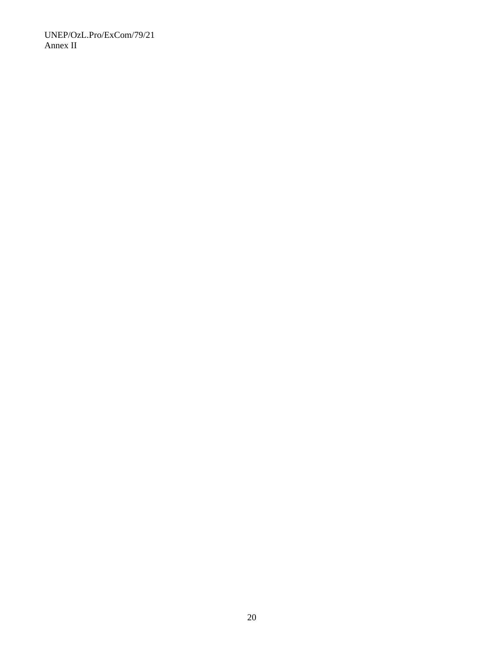UNEP/OzL.Pro/ExCom/79/21 Annex II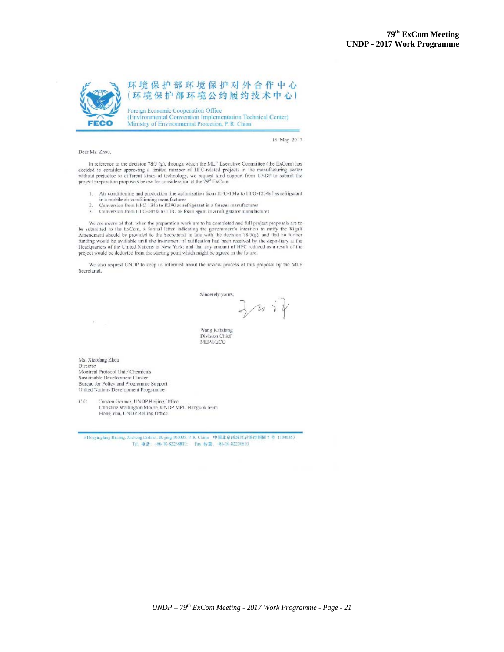

15 May 2017

#### Dear Ms. Zhou,

¥.

In reference to the decision 78/3 (g), through which the MLF Executive Committee (the ExCom) has decided to consider approving a limited number of HFC-related projects in the manufacturing sector without prejudice to different kinds of technology, we request kind support from UNDP to submit the preject preparation proposals below for consideration at the 79<sup>2</sup> ExCom.

- 1. Air conditioning and production line optimization from HFC-134a to HFO-1234yf as refrigerant
- 
- Final anobile air conditioning manufacturer<br>Conversion from HFC-134a to R290 as refrigerant in a freezer manufacturer<br>Conversion from HFC-134a to R290 as refrigerant in a refrigerator manufacturer  $\overline{2}$  $\overline{A}$

We are aware of that, when the preparation work are to be completed and full project proposals are to<br>be submitted to the ExCom, a formal letter indicating the government's intention to ratify the Kigali<br>Amendment should b funding would be available until the instrument of ratification had been received by the depositary at the Headquarters of the United Nations in New York; and that any amount of HFC reduced as a result of the project would be deducted from the starting point which might be agreed in the future.

We also request UNDP to keep us informed about the review process of this proposal by the MLF Secretariat.

Sincerely yours,  $3/47$ 

Wang Kaixiang Division Chief<br>MEP/FECO

Ms. Xiaofang Zhou Director Montreal Protocol Unit/ Chemicals Sustainable Development Cluster Bureau for Policy and Programme Support<br>United Nations Development Programme

Carsten Germer, UNDP Beijing Office<br>Christine Wellington Maore, UNDP MPU Bangkok team<br>Hong Yun, UNDP Beijing Office  $C$  $C$ 

5 HouyingJing Hutong, Xicheng District, Beijing 100035, P. R. China 中国北京西城区后关房胡同5号 (100035) Tel. 电话: -86-10-82268810; Fax 传真: -86-10-82200610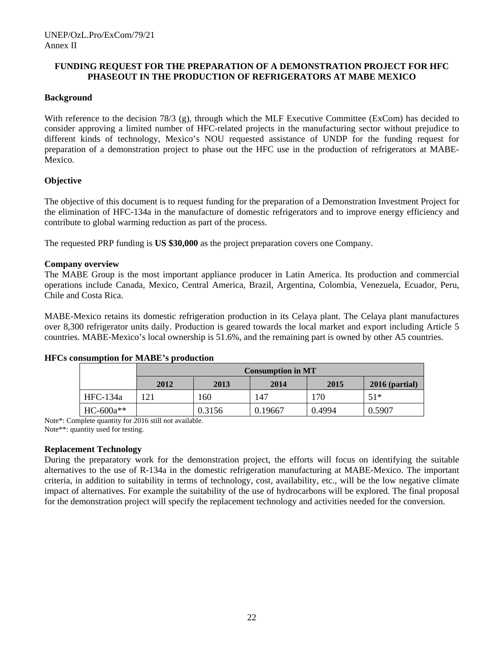### **FUNDING REQUEST FOR THE PREPARATION OF A DEMONSTRATION PROJECT FOR HFC PHASEOUT IN THE PRODUCTION OF REFRIGERATORS AT MABE MEXICO**

### **Background**

With reference to the decision 78/3 (g), through which the MLF Executive Committee (ExCom) has decided to consider approving a limited number of HFC-related projects in the manufacturing sector without prejudice to different kinds of technology, Mexico's NOU requested assistance of UNDP for the funding request for preparation of a demonstration project to phase out the HFC use in the production of refrigerators at MABE-Mexico.

### **Objective**

The objective of this document is to request funding for the preparation of a Demonstration Investment Project for the elimination of HFC-134a in the manufacture of domestic refrigerators and to improve energy efficiency and contribute to global warming reduction as part of the process.

The requested PRP funding is **US \$30,000** as the project preparation covers one Company.

### **Company overview**

The MABE Group is the most important appliance producer in Latin America. Its production and commercial operations include Canada, Mexico, Central America, Brazil, Argentina, Colombia, Venezuela, Ecuador, Peru, Chile and Costa Rica.

MABE-Mexico retains its domestic refrigeration production in its Celaya plant. The Celaya plant manufactures over 8,300 refrigerator units daily. Production is geared towards the local market and export including Article 5 countries. MABE-Mexico's local ownership is 51.6%, and the remaining part is owned by other A5 countries.

|               | <b>Consumption in MT</b> |        |         |        |                  |
|---------------|--------------------------|--------|---------|--------|------------------|
|               | 2012                     | 2013   | 2014    | 2015   | $2016$ (partial) |
| HFC-134a      | 121                      | 160    | 147     | 170    | $51*$            |
| $HC - 600a**$ |                          | 0.3156 | 0.19667 | 0.4994 | 0.5907           |

### **HFCs consumption for MABE's production**

Note\*: Complete quantity for 2016 still not available. Note\*\*: quantity used for testing.

### **Replacement Technology**

During the preparatory work for the demonstration project, the efforts will focus on identifying the suitable alternatives to the use of R-134a in the domestic refrigeration manufacturing at MABE-Mexico. The important criteria, in addition to suitability in terms of technology, cost, availability, etc., will be the low negative climate impact of alternatives. For example the suitability of the use of hydrocarbons will be explored. The final proposal for the demonstration project will specify the replacement technology and activities needed for the conversion.